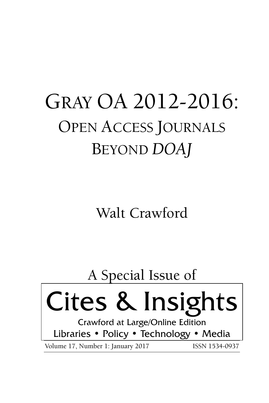# GRAY OA 2012-2016: OPEN ACCESS JOURNALS BEYOND *DOAJ*

Walt Crawford

# A Special Issue of Cites & Insights Crawford at Large/Online Edition Libraries • Policy • Technology • Media

Volume 17, Number 1: January 2017 ISSN 1534-0937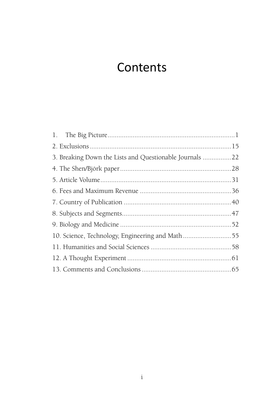# **Contents**

| 3. Breaking Down the Lists and Questionable Journals 22 |  |
|---------------------------------------------------------|--|
|                                                         |  |
|                                                         |  |
|                                                         |  |
|                                                         |  |
|                                                         |  |
|                                                         |  |
| 10. Science, Technology, Engineering and Math55         |  |
|                                                         |  |
|                                                         |  |
|                                                         |  |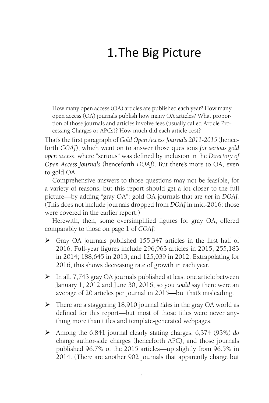# 1.The Big Picture

How many open access (OA) articles are published each year? How many open access (OA) journals publish how many OA articles? What proportion of those journals and articles involve fees (usually called Article Processing Charges or APCs)? How much did each article cost?

That's the first paragraph of *Gold Open Access Journals 2011-2015* (henceforth *GOAJ*), which went on to answer those questions *for serious gold open access*, where "serious" was defined by inclusion in the *Directory of Open Access Journals* (henceforth *DOAJ*). But there's more to OA, even to gold OA.

Comprehensive answers to those questions may not be feasible, for a variety of reasons, but this report should get a lot closer to the full picture—by adding "gray OA": gold OA journals that are *not* in *DOAJ.* (This does not include journals dropped from *DOAJ* in mid-2016: those were covered in the earlier report.)

Herewith, then, some oversimplified figures for gray OA, offered comparably to those on page 1 of *GOAJ:*

- Gray OA journals published 155,347 articles in the first half of 2016. Full-year figures include 296,963 articles in 2015; 255,183 in 2014; 188,645 in 2013; and 125,039 in 2012. Extrapolating for 2016, this shows decreasing rate of growth in each year.
- $\triangleright$  In all, 7,743 gray OA journals published at least one article between January 1, 2012 and June 30, 2016, so you *could* say there were an average of 20 articles per journal in 2015—but that's misleading.
- There are a staggering 18,910 journal *titles* in the gray OA world as defined for this report—but most of those titles were never anything more than titles and template-generated webpages.
- Among the 6,841 journal clearly stating charges, 6,374 (93%) *do* charge author-side charges (henceforth APC), and those journals published 96.7% of the 2015 articles—up slightly from 96.5% in 2014. (There are another 902 journals that apparently charge but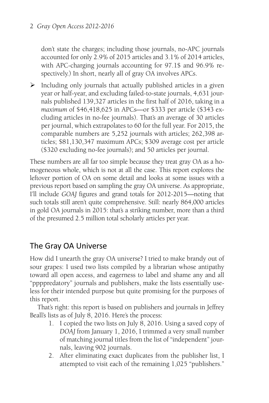don't state the charges; including those journals, no-APC journals accounted for only 2.9% of 2015 articles and 3.1% of 2014 articles, with APC-charging journals accounting for 97.1\$ and 96.9% respectively.) In short, nearly all of gray OA involves APCs.

 $\triangleright$  Including only journals that actually published articles in a given year or half-year, and excluding failed-to-state journals, 4,631 journals published 139,327 articles in the first half of 2016, taking in a *maximum* of \$46,418,625 in APCs—or \$333 per article (\$343 excluding articles in no-fee journals). That's an average of 30 articles per journal, which extrapolates to 60 for the full year. For 2015, the comparable numbers are 5,252 journals with articles; 262,398 articles; \$81,130,347 maximum APCs; \$309 average cost per article (\$320 excluding no-fee journals); and 50 articles per journal.

These numbers are all far too simple because they treat gray OA as a homogeneous whole, which is not at all the case. This report explores the leftover portion of OA on some detail and looks at some issues with a previous report based on sampling the gray OA universe. As appropriate, I'll include *GOAJ* figures and grand totals for 2012-2015—noting that such totals still aren't quite comprehensive. Still: nearly 864,000 articles in gold OA journals in 2015: that's a striking number, more than a third of the presumed 2.5 million total scholarly articles per year.

# The Gray OA Universe

How did I unearth the gray OA universe? I tried to make brandy out of sour grapes: I used two lists compiled by a librarian whose antipathy toward all open access, and eagerness to label and shame any and all "ppppredatory" journals and publishers, make the lists essentially useless for their intended purpose but quite promising for the purposes of this report.

That's right: this report is based on publishers and journals in Jeffrey Beall's lists as of July 8, 2016. Here's the process:

- 1. I copied the two lists on July 8, 2016. Using a saved copy of *DOAJ* from January 1, 2016, I trimmed a very small number of matching journal titles from the list of "independent" journals, leaving 902 journals.
- 2. After eliminating exact duplicates from the publisher list, I attempted to visit each of the remaining 1,025 "publishers."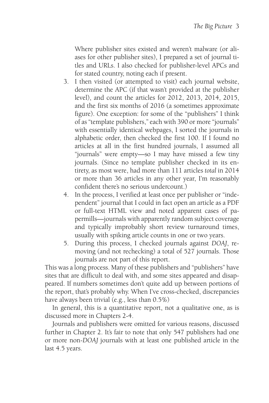Where publisher sites existed and weren't malware (or aliases for other publisher sites), I prepared a set of journal titles and URLs. I also checked for publisher-level APCs and for stated country, noting each if present.

- 3. I then visited (or attempted to visit) each journal website, determine the APC (if that wasn't provided at the publisher level), and count the articles for 2012, 2013, 2014, 2015, and the first six months of 2016 (a sometimes approximate figure). One exception: for some of the "publishers" I think of as "template publishers," each with 390 or more "journals" with essentially identical webpages, I sorted the journals in alphabetic order, then checked the first 100. If I found no articles at all in the first hundred journals, I assumed all "journals" were empty—so I may have missed a few tiny journals. (Since no template publisher checked in its entirety, as most were, had more than 111 articles *total* in 2014 or more than 36 articles in any other year, I'm reasonably confident there's no serious undercount.)
- 4. In the process, I verified at least once per publisher or "independent" journal that I could in fact open an article as a PDF or full-text HTML view and noted apparent cases of papermills—journals with apparently random subject coverage and typically improbably short review turnaround times, usually with spiking article counts in one or two years.
- 5. During this process, I checked journals against *DOAJ*, removing (and not rechecking) a total of 527 journals. Those journals are not part of this report.

This was a long process. Many of these publishers and "publishers" have sites that are difficult to deal with, and some sites appeared and disappeared. If numbers sometimes don't quite add up between portions of the report, that's probably why. When I've cross-checked, discrepancies have always been trivial (e.g., less than 0.5%)

In general, this is a quantitative report, not a qualitative one, as is discussed more in Chapters 2-4.

Journals and publishers were omitted for various reasons, discussed further in Chapter 2. It's fair to note that only 547 publishers had one or more non-*DOAJ* journals with at least one published article in the last 4.5 years.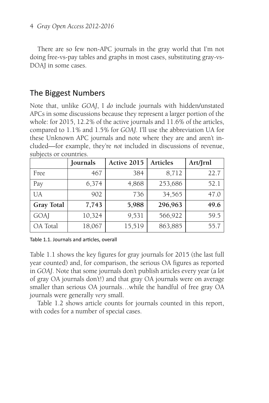There are so few non-APC journals in the gray world that I'm not doing free-vs-pay tables and graphs in most cases, substituting gray-vs-DOAJ in some cases.

# The Biggest Numbers

Note that, unlike *GOAJ*, I *do* include journals with hidden/unstated APCs in some discussions because they represent a larger portion of the whole: for 2015, 12.2% of the active journals and 11.6% of the articles, compared to 1.1% and 1.5% for *GOAJ*. I'll use the abbreviation UA for these Unknown APC journals and note where they are and aren't included—for example, they're *not* included in discussions of revenue, subjects or countries.

|                | Journals | Active 2015 | <b>Articles</b> | Art/Jrnl |
|----------------|----------|-------------|-----------------|----------|
| Free           | 467      | 384         | 8,712           | 22.7     |
| Pay            | 6,374    | 4,868       | 253,686         | 52.1     |
| UA <sup></sup> | 902      | 736         | 34,565          | 47.0     |
| Gray Total     | 7,743    | 5,988       | 296,963         | 49.6     |
| GOAJ           | 10,324   | 9,531       | 566,922         | 59.5     |
| OA Total       | 18,067   | 15,519      | 863,885         | 55.7     |

Table 1.1. Journals and articles, overall

Table 1.1 shows the key figures for gray journals for 2015 (the last full year counted) and, for comparison, the serious OA figures as reported in *GOAJ*. Note that some journals don't publish articles every year (a *lot* of gray OA journals don't!) and that gray OA journals were on average smaller than serious OA journals…while the handful of free gray OA journals were generally *very* small.

Table 1.2 shows article counts for journals counted in this report, with codes for a number of special cases.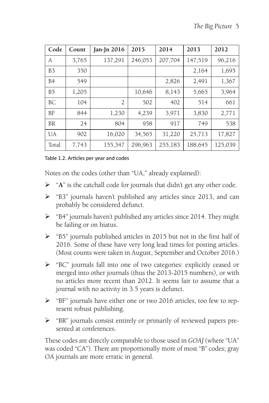| Code           | Count | $\tan$ - $\ln 2016$ | 2015    | 2014    | 2013    | 2012    |
|----------------|-------|---------------------|---------|---------|---------|---------|
| A              | 3,765 | 137,291             | 246,053 | 207,704 | 147,519 | 96,216  |
| B <sub>3</sub> | 350   |                     |         |         | 2,164   | 1,695   |
| B <sub>4</sub> | 549   |                     |         | 2,826   | 2,491   | 1,367   |
| B <sub>5</sub> | 1,205 |                     | 10,646  | 8,143   | 5,665   | 3,964   |
| BC             | 104   | $\overline{2}$      | 502     | 402     | 514     | 661     |
| <b>BF</b>      | 844   | 1,230               | 4,239   | 3,971   | 3,830   | 2,771   |
| <b>BR</b>      | 24    | 804                 | 958     | 917     | 749     | 538     |
| UA             | 902   | 16,020              | 34,565  | 31,220  | 25,713  | 17,827  |
| Total          | 7.743 | 155,347             | 296,963 | 255,183 | 188,645 | 125,039 |

Table 1.2. Articles per year and codes

Notes on the codes (other than "UA," already explained):

- "**A**" is the catchall code for journals that didn't get any other code.
- $\triangleright$  "B3" journals haven't published any articles since 2013, and can probably be considered defunct.
- "B4" journals haven't published any articles since 2014. They might be failing or on hiatus.
- $\triangleright$  "B5" journals published articles in 2015 but not in the first half of 2016. Some of these have very long lead times for posting articles. (Most counts were taken in August, September and October 2016.)
- "BC" journals fall into one of two categories: explicitly ceased or merged into other journals (thus the 2013-2015 numbers), or with no articles more recent than 2012. It seems fair to assume that a journal with no activity in 3.5 years is defunct.
- "BF" journals have either one or two 2016 articles, too few to represent robust publishing.
- "BR" journals consist entirely or primarily of reviewed papers presented at conferences.

These codes are directly comparable to those used in *GOAJ* (where "UA" was coded "CA"). There are proportionally more of most "B" codes; gray OA journals are more erratic in general.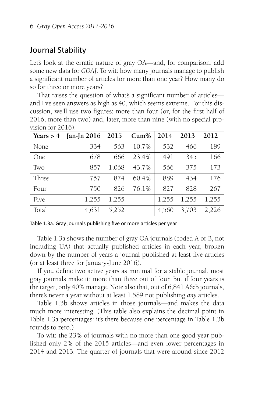# Journal Stability

Let's look at the erratic nature of gray OA—and, for comparison, add some new data for *GOAJ*. To wit: how many journals manage to publish a significant number of articles for more than one year? How many do so for three or more years?

That raises the question of what's a significant number of articles and I've seen answers as high as 40, which seems extreme. For this discussion, we'll use two figures: more than four (or, for the first half of 2016, more than two) and, later, more than nine (with no special provision for 2016).

| Years $> 4$ | Jan-Jn 2016 | 2015  | $Cum\%$ | 2014  | 2013  | 2012  |
|-------------|-------------|-------|---------|-------|-------|-------|
| None        | 334         | 563   | 10.7%   | 532   | 466   | 189   |
| One         | 678         | 666   | 23.4%   | 491   | 345   | 166   |
| Two         | 857         | 1,068 | 43.7%   | 566   | 375   | 173   |
| Three       | 757         | 874   | 60.4%   | 889   | 434   | 176   |
| Four        | 750         | 826   | 76.1%   | 827   | 828   | 267   |
| Five        | 1,255       | 1,255 |         | 1,255 | 1,255 | 1,255 |
| Total       | 4,631       | 5,252 |         | 4,560 | 3,703 | 2,226 |

Table 1.3a. Gray journals publishing five or more articles per year

Table 1.3a shows the number of gray OA journals (coded A or B, not including UA) that actually published articles in each year, broken down by the number of years a journal published at least five articles (or at least three for January-June 2016).

If you define two active years as minimal for a stable journal, most gray journals make it: more than three out of four. But if four years is the target, only 40% manage. Note also that, out of 6,841 A&B journals, there's never a year without at least 1,589 not publishing *any* articles.

Table 1.3b shows articles in those journals—and makes the data much more interesting. (This table also explains the decimal point in Table 1.3a percentages: it's there because one percentage in Table 1.3b rounds to zero.)

To wit: the 23% of journals with no more than one good year published only 2% of the 2015 articles—and even lower percentages in 2014 and 2013. The quarter of journals that were around since 2012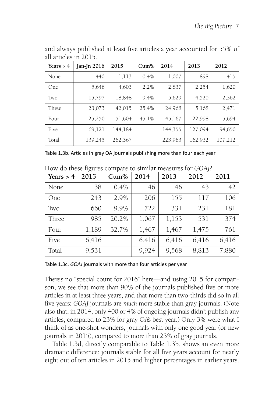| Years $> 4$ | Jan-Jn $2016$ | 2015    | $Cum\%$ | 2014    | 2013    | 2012    |
|-------------|---------------|---------|---------|---------|---------|---------|
| None        | 440           | 1,113   | 0.4%    | 1,007   | 898     | 415     |
| One.        | 5,646         | 4,603   | 2.2%    | 2,837   | 2,254   | 1,620   |
| Two         | 15,797        | 18,848  | 9.4%    | 5,629   | 4,520   | 2,362   |
| Three       | 23,073        | 42,015  | 25.4%   | 24,968  | 5,168   | 2,471   |
| Four        | 25,250        | 51,604  | 45.1%   | 45,167  | 22,998  | 5,694   |
| Five        | 69,121        | 144,184 |         | 144,355 | 127,094 | 94,650  |
| Total       | 139,245       | 262,367 |         | 223,963 | 162,932 | 107,212 |

and always published at least five articles a year accounted for 55% of all articles in 2015.

Table 1.3b. Articles in gray OA journals publishing more than four each year

| Years $> 4$ | 2015  | $Cum\%$ | 2014  | 2013  | 2012  | 2011  |
|-------------|-------|---------|-------|-------|-------|-------|
| None        | 38    | 0.4%    | 46    | 46    | 43    | 42    |
| One         | 243   | 2.9%    | 206   | 155   | 117   | 106   |
| Two         | 660   | 9.9%    | 722   | 331   | 231   | 181   |
| Three       | 985   | 20.2%   | 1,067 | 1,153 | 531   | 374   |
| Four        | 1,189 | 32.7%   | 1,467 | 1,467 | 1,475 | 761   |
| Five        | 6,416 |         | 6,416 | 6,416 | 6,416 | 6,416 |
| Total       | 9,531 |         | 9,924 | 9,568 | 8,813 | 7,880 |

How do these figures compare to similar measures for *GOAJ*?

Table 1.3c. *GOAJ* journals with more than four articles per year

There's no "special count for 2016" here—and using 2015 for comparison, we see that more than 90% of the journals published five or more articles in at least three years, and that more than two-thirds did so in all five years: *GOAJ* journals are *much* more stable than gray journals. (Note also that, in 2014, only 400 or 4% of ongoing journals didn't publish any articles, compared to 23% for gray OA's best year.) Only 3% were what I think of as one-shot wonders, journals with only one good year (or new journals in 2015), compared to more than 23% of gray journals.

Table 1.3d, directly comparable to Table 1.3b, shows an even more dramatic difference: journals stable for all five years account for nearly eight out of ten articles in 2015 and higher percentages in earlier years.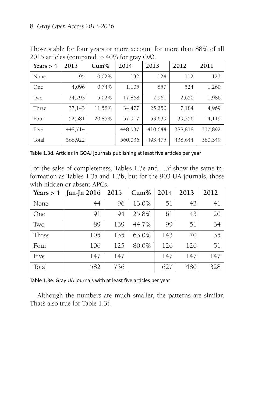#### 8 *Gray Open Access 2012-2016*

| Years $> 4$ | 2015    | $Cum\%$ | 2014    | 2013    | 2012    | 2011    |
|-------------|---------|---------|---------|---------|---------|---------|
| None        | 95      | 0.02%   | 132     | 124     | 112     | 123     |
| One         | 4,096   | 0.74%   | 1,105   | 857     | 524     | 1,260   |
| Two         | 24,293  | 5.02%   | 17,868  | 2,961   | 2,650   | 1,986   |
| Three       | 37,143  | 11.58%  | 34,477  | 25,250  | 7,184   | 4,969   |
| Four        | 52,581  | 20.85%  | 57,917  | 53,639  | 39,356  | 14,119  |
| Five        | 448,714 |         | 448,537 | 410,644 | 388,818 | 337,892 |
| Total       | 566,922 |         | 560,036 | 493,475 | 438,644 | 360,349 |

Those stable for four years or more account for more than 88% of all 2015 articles (compared to 40% for gray OA).

Table 1.3d. Articles in GOAJ journals publishing at least five articles per year

For the sake of completeness, Tables 1.3e and 1.3f show the same information as Tables 1.3a and 1.3b, but for the 903 UA journals, those with hidden or absent APCs.

| Years $> 4$ | Jan-Jn 2016 | 2015 | $Cum\%$ | 2014 | 2013 | 2012 |
|-------------|-------------|------|---------|------|------|------|
| None        | 44          | 96   | 13.0%   | 51   | 43   | 41   |
| One         | 91          | 94   | 25.8%   | 61   | 43   | 20   |
| Two         | 89          | 139  | 44.7%   | 99   | 51   | 34   |
| Three       | 105         | 135  | 63.0%   | 143  | 70   | 35   |
| Four        | 106         | 125  | 80.0%   | 126  | 126  | 51   |
| Five        | 147         | 147  |         | 147  | 147  | 147  |
| Total       | 582         | 736  |         | 627  | 480  | 328  |

Table 1.3e. Gray UA journals with at least five articles per year

Although the numbers are much smaller, the patterns are similar. That's also true for Table 1.3f.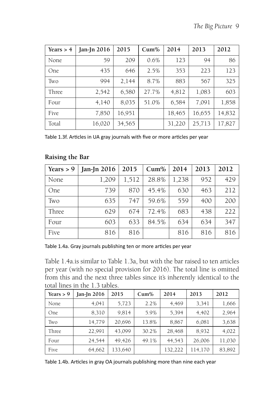| Years $> 4$ | Jan-Jn 2016 | 2015   | $Cum\%$ | 2014   | 2013   | 2012   |
|-------------|-------------|--------|---------|--------|--------|--------|
| None        | 59          | 209    | 0.6%    | 123    | 94     | 86     |
| <b>One</b>  | 435         | 646    | 2.5%    | 353    | 223    | 123    |
| Two         | 994         | 2,144  | 8.7%    | 883    | 567    | 325    |
| Three       | 2,542       | 6,580  | 27.7%   | 4,812  | 1,083  | 603    |
| Four        | 4,140       | 8,035  | 51.0%   | 6,584  | 7,091  | 1,858  |
| Five        | 7,850       | 16,951 |         | 18,465 | 16,655 | 14,832 |
| Total       | 16,020      | 34,565 |         | 31,220 | 25,713 | 17,827 |

Table 1.3f. Articles in UA gray journals with five or more articles per year

| Years $> 9$ | Jan-Jn $2016$ | 2015  | $Cum\%$ | 2014  | 2013 | 2012 |
|-------------|---------------|-------|---------|-------|------|------|
| None        | 1,209         | 1,512 | 28.8%   | 1,238 | 952  | 429  |
| One         | 739           | 870   | 45.4%   | 630   | 463  | 212  |
| Two         | 635           | 747   | 59.6%   | 559   | 400  | 200  |
| Three       | 629           | 674   | 72.4%   | 683   | 438  | 222  |
| Four        | 603           | 633   | 84.5%   | 634   | 634  | 347  |
| Five        | 816           | 816   |         | 816   | 816  | 816  |

#### **Raising the Bar**

Table 1.4a. Gray journals publishing ten or more articles per year

Table 1.4a.is similar to Table 1.3a, but with the bar raised to ten articles per year (with no special provision for 2016). The total line is omitted from this and the next three tables since it's inherently identical to the total lines in the 1.3 tables.

| Years $> 9$ | Jan-Jn 2016 | 2015    | $Cum\%$ | 2014    | 2013    | 2012   |
|-------------|-------------|---------|---------|---------|---------|--------|
| None        | 4,041       | 5,723   | 2.2%    | 4,469   | 3,341   | 1,666  |
| <b>One</b>  | 8,310       | 9,814   | 5.9%    | 5,394   | 4,402   | 2,964  |
| Two         | 14,779      | 20,696  | 13.8%   | 8,867   | 6,081   | 3,638  |
| Three       | 22.991      | 43.099  | 30.2%   | 28,468  | 8,932   | 4,022  |
| Four        | 24,544      | 49,426  | 49.1%   | 44,543  | 26,006  | 11,030 |
| Five        | 64,662      | 133,640 |         | 132,222 | 114,170 | 83,892 |

Table 1.4b. Articles in gray OA journals publishing more than nine each year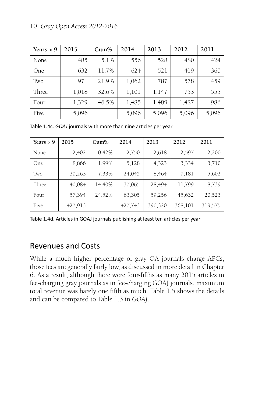| Years $> 9$ | 2015  | $Cum\%$ | 2014  | 2013  | 2012  | 2011  |
|-------------|-------|---------|-------|-------|-------|-------|
| None        | 485   | 5.1%    | 556   | 528   | 480   | 424   |
| One         | 632   | 11.7%   | 624   | 521   | 419   | 360   |
| Two         | 971   | 21.9%   | 1,062 | 787   | 578   | 459   |
| Three       | 1,018 | 32.6%   | 1,101 | 1,147 | 753   | 555   |
| Four        | 1,329 | 46.5%   | 1,485 | 1,489 | 1,487 | 986   |
| Five        | 5,096 |         | 5,096 | 5,096 | 5,096 | 5,096 |

Table 1.4c. *GOAJ* journals with more than nine articles per year

| Years $> 9$ | 2015    | $Cum\%$ | 2014    | 2013    | 2012    | 2011    |
|-------------|---------|---------|---------|---------|---------|---------|
| None        | 2,402   | 0.42%   | 2,750   | 2,618   | 2,597   | 2,200   |
| One         | 8,866   | 1.99%   | 5,128   | 4,323   | 3,334   | 3,710   |
| Two         | 30,263  | 7.33%   | 24,045  | 8,464   | 7,181   | 5,602   |
| Three       | 40,084  | 14.40%  | 37,065  | 28,494  | 11,799  | 8,739   |
| Four        | 57,394  | 24.52%  | 63,305  | 59,256  | 45,632  | 20,523  |
| Five        | 427,913 |         | 427,743 | 390,320 | 368,101 | 319,575 |

Table 1.4d. Articles in GOAJ journals publishing at least ten articles per year

# Revenues and Costs

While a much higher percentage of gray OA journals charge APCs, those fees are generally fairly low, as discussed in more detail in Chapter 6. As a result, although there were four-fifths as many 2015 articles in fee-charging gray journals as in fee-charging GOAJ journals, maximum total revenue was barely one fifth as much. Table 1.5 shows the details and can be compared to Table 1.3 in *GOAJ*.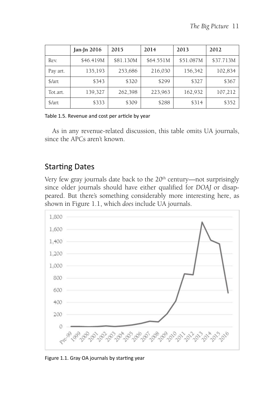|               | Jan-Jn 2016 | 2015      | 2014      | 2013      | 2012      |
|---------------|-------------|-----------|-----------|-----------|-----------|
| Rev.          | \$46.419M   | \$81.130M | \$64.551M | \$51.087M | \$37.713M |
| Pay art.      | 135,193     | 253,686   | 216,030   | 156,342   | 102,834   |
| $\frac{1}{2}$ | \$343       | \$320     | \$299     | \$327     | \$367     |
| Tot.art.      | 139,327     | 262,398   | 223,963   | 162,932   | 107,212   |
| \$/art        | \$333       | \$309     | \$288     | \$314     | \$352     |

#### Table 1.5. Revenue and cost per article by year

As in any revenue-related discussion, this table omits UA journals, since the APCs aren't known.

### **Starting Dates**

Very few gray journals date back to the  $20<sup>th</sup>$  century—not surprisingly since older journals should have either qualified for *DOAJ* or disappeared. But there's something considerably more interesting here, as shown in Figure 1.1, which *does* include UA journals.



Figure 1.1. Gray OA journals by starting year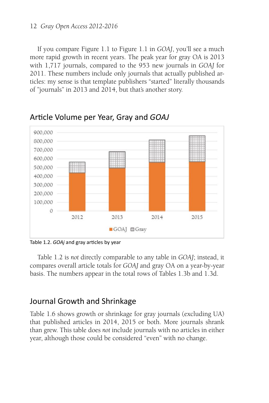#### 12 *Gray Open Access 2012-2016*

If you compare Figure 1.1 to Figure 1.1 in *GOAJ*, you'll see a much more rapid growth in recent years. The peak year for gray OA is 2013 with 1,717 journals, compared to the 953 new journals in *GOAJ* for 2011. These numbers include only journals that actually published articles: my sense is that template publishers "started" literally thousands of "journals" in 2013 and 2014, but that's another story.



Article Volume per Year, Gray and *GOAJ* 

Table 1.2. *GOAj* and gray articles by year

Table 1.2 is *not* directly comparable to any table in *GOAJ*; instead, it compares overall article totals for *GOAJ* and gray OA on a year-by-year basis. The numbers appear in the total rows of Tables 1.3b and 1.3d.

### Journal Growth and Shrinkage

Table 1.6 shows growth or shrinkage for gray journals (excluding UA) that published articles in 2014, 2015 or both. More journals shrank than grew. This table does *not* include journals with no articles in either year, although those could be considered "even" with no change.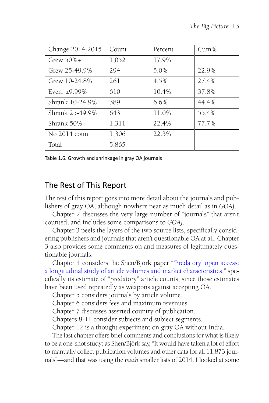| Change 2014-2015 | Count | Percent | $Cum\%$ |
|------------------|-------|---------|---------|
| $G$ rew 50% $+$  | 1,052 | 17.9%   |         |
| Grew 25-49.9%    | 294   | 5.0%    | 22.9%   |
| Grew 10-24.8%    | 261   | 4.5%    | 27.4%   |
| Even, ±9.99%     | 610   | 10.4%   | 37.8%   |
| Shrank 10-24.9%  | 389   | 6.6%    | 44.4%   |
| Shrank 25-49.9%  | 643   | 11.0%   | 55.4%   |
| Shrank $50\%$ +  | 1,311 | 22.4%   | 77.7%   |
| No 2014 count    | 1,306 | 22.3%   |         |
| Total            | 5,865 |         |         |

Table 1.6. Growth and shrinkage in gray OA journals

# The Rest of This Report

The rest of this report goes into more detail about the journals and publishers of gray OA, although nowhere near as much detail as in *GOAJ*.

Chapter 2 discusses the very large number of "journals" that aren't counted, and includes some comparisons to *GOAJ*.

Chapter 3 peels the layers of the two source lists, specifically considering publishers and journals that aren't questionable OA at all. Chapter 3 also provides some comments on and measures of legitimately questionable journals.

Chapter 4 considers the Shen/Björk paper"['Predatory' open access:](http://bmcmedicine.biomedcentral.com/articles/10.1186/s12916-015-0469-2) [a longitudinal study of article volumes and market characteristics,](http://bmcmedicine.biomedcentral.com/articles/10.1186/s12916-015-0469-2)" specifically its estimate of "predatory" article counts, since those estimates have been used repeatedly as weapons against accepting OA.

Chapter 5 considers journals by article volume.

Chapter 6 considers fees and maximum revenues.

Chapter 7 discusses asserted country of publication.

Chapters 8-11 consider subjects and subject segments.

Chapter 12 is a thought experiment on gray OA without India.

The last chapter offers brief comments and conclusions for what is likely to be a one-shot study: as Shen/Björk say, "It would have taken a lot of effort to manually collect publication volumes and other data for all 11,873 journals"—and that was using the *much* smaller lists of 2014. I looked at some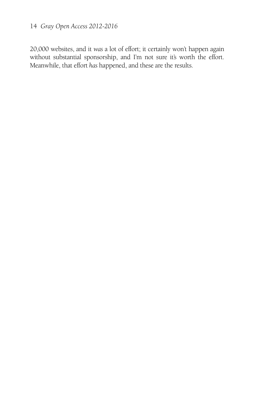### 14 *Gray Open Access 2012-2016*

20,000 websites, and it *was* a lot of effort; it certainly won't happen again without substantial sponsorship, and I'm not sure it's worth the effort. Meanwhile, that effort *has* happened, and these are the results.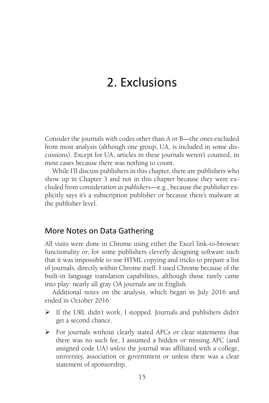# 2. Exclusions

Consider the journals with codes other than A or B—the ones excluded from most analysis (although one group, UA, is included in some discussions). Except for UA, articles in these journals weren't counted, in most cases because there was nothing to count.

While I'll discuss publishers in this chapter, there are publishers who show up in Chapter 3 and not in this chapter because they were excluded from consideration *as publishers*—e.g., because the publisher explicitly says it's a subscription publisher or because there's malware at the publisher level.

### More Notes on Data Gathering

All visits were done in Chrome using either the Excel link-to-browser functionality or, for some publishers cleverly designing software such that it was impossible to use HTML copying and tricks to prepare a list of journals, directly within Chrome itself. I used Chrome because of the built-in language translation capabilities, although those rarely came into play: nearly all gray OA journals are in English.

Additional notes on the analysis, which began in July 2016 and ended in October 2016:

- $\triangleright$  If the URL didn't work, I stopped. Journals and publishers didn't get a second chance.
- For journals without clearly stated APCs or clear statements that there was no such fee, I assumed a hidden or missing APC (and assigned code UA) *unless* the journal was affiliated with a college, university, association or government or unless there was a clear statement of sponsorship.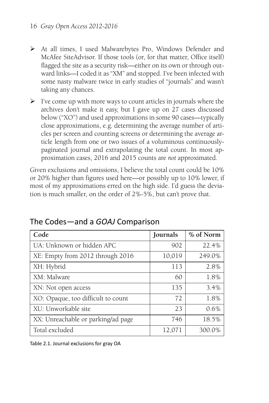- At all times, I used Malwarebytes Pro, Windows Defender and McAfee SiteAdvisor. If those tools (or, for that matter, Office itself) flagged the site as a security risk—either on its own or through outward links—I coded it as "XM" and stopped. I've been infected with some nasty malware twice in early studies of "journals" and wasn't taking any chances.
- $\triangleright$  I've come up with more ways to count articles in journals where the archives don't make it easy, but I gave up on 27 cases discussed below ("XO") and used approximations in some 90 cases—typically close approximations, e.g. determining the average number of articles per screen and counting screens or determining the average article length from one or two issues of a voluminous continuouslypaginated journal and extrapolating the total count. In most approximation cases, 2016 and 2015 counts are *not* approximated.

Given exclusions and omissions, I believe the total count could be 10% or 20% higher than figures used here—or possibly up to 10% lower, if most of my approximations erred on the high side. I'd guess the deviation is much smaller, on the order of 2%-5%, but can't prove that.

| Code                               | Journals | % of Norm |
|------------------------------------|----------|-----------|
| UA: Unknown or hidden APC          | 902      | 22.4%     |
| XE: Empty from 2012 through 2016   | 10,019   | 249.0%    |
| XH: Hybrid                         | 113      | 2.8%      |
| XM: Malware                        | 60       | 1.8%      |
| XN: Not open access                | 135      | 3.4%      |
| XO: Opaque, too difficult to count | 72       | 1.8%      |
| XU: Unworkable site                | 23       | 0.6%      |
| XX: Unreachable or parking/ad page | 746      | 18.5%     |
| Total excluded                     | 12,071   | 300.0%    |

# The Codes—and a *GOAJ* Comparison

Table 2.1. Journal exclusions for gray OA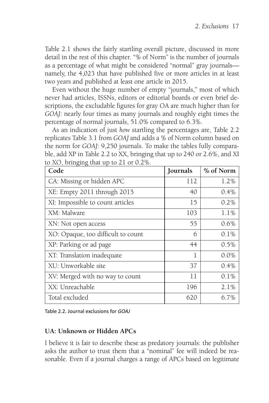Table 2.1 shows the fairly startling overall picture, discussed in more detail in the rest of this chapter. "% of Norm" is the number of journals as a percentage of what might be considered "normal" gray journals namely, the 4,023 that have published five or more articles in at least two years and published at least one article in 2015.

Even without the huge number of empty "journals," most of which never had articles, ISSNs, editors or editorial boards or even brief descriptions, the excludable figures for gray OA are much higher than for *GOAJ*: nearly four times as many journals and roughly eight times the percentage of normal journals, 51.0% compared to 6.3%.

As an indication of just *how* startling the percentages are, Table 2.2 replicates Table 3.1 from *GOAJ* and adds a % of Norm column based on the norm for *GOAJ*: 9,250 journals. To make the tables fully comparable, add XP in Table 2.2 to XX, bringing that up to 240 or 2.6%, and XI to  $XO$  bringing that up to  $21$  or  $0.2\%$ 

| Code                               | Journals | % of Norm |
|------------------------------------|----------|-----------|
| CA: Missing or hidden APC          | 112      | 1.2%      |
| XE: Empty 2011 through 2015        | 40       | $0.4\%$   |
| XI: Impossible to count articles   | 15       | 0.2%      |
| XM: Malware                        | 103      | 1.1%      |
| XN: Not open access                | 55       | $0.6\%$   |
| XO: Opaque, too difficult to count | 6        | $0.1\%$   |
| XP: Parking or ad page             | 44       | $0.5\%$   |
| XT: Translation inadequate         | 1        | $0.0\%$   |
| XU: Unworkable site                | 37       | $0.4\%$   |
| XV: Merged with no way to count    | 11       | $0.1\%$   |
| XX: Unreachable                    | 196      | $2.1\%$   |
| Total excluded                     | 620      | $6.7\%$   |

Table 2.2. Journal exclusions for *GOAJ*

#### **UA: Unknown or Hidden APCs**

I believe it *is* fair to describe these as predatory journals: the publisher asks the author to trust them that a "nominal" fee will indeed be reasonable. Even if a journal charges a range of APCs based on legitimate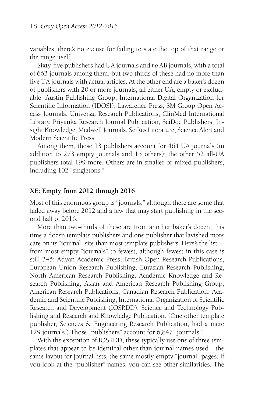variables, there's no excuse for failing to state the top of that range or the range itself.

Sixty-five publishers had UA journals and *no* AB journals, with a total of 663 journals among them, but two thirds of these had no more than five UA journals with actual articles. At the other end are a baker's dozen of publishers with 20 or more journals, all either UA, empty or excludable: Austin Publishing Group, International Digital Organization for Scientific Information (IDOSI), Lawarence Press, SM Group Open Access Journals, Universal Research Publications, ClinMed International Library, Priyanka Research Journal Publication, SciDoc Publishers, Insight Knowledge, Medwell Journals, SciRes Literature, Science Alert and Modern Scientific Press.

Among them, those 13 publishers account for 464 UA journals (in addition to 273 empty journals and 15 others); the other 52 all-UA publishers total 199 more. Others are in smaller or mixed publishers, including 102 "singletons."

#### **XE: Empty from 2012 through 2016**

Most of this enormous group is "journals," although there are some that faded away before 2012 and a few that may start publishing in the second half of 2016.

More than two-thirds of these are from another baker's dozen, this time a dozen template publishers and one publisher that lavished more care on its "journal" site than most template publishers. Here's the list from most empty "journals" to fewest, although fewest in this case is still 345: Adyan Academic Press, British Open Research Publications, European Union Research Publishing, Eurasian Research Publishing, North American Research Publishing, Academic Knowledge and Research Publishing, Asian and American Research Publishing Group, American Research Publications, Canadian Research Publication, Academic and Scientific Publishing, International Organization of Scientific Research and Development (IOSRDD), Science and Technology Publishing and Research and Knowledge Publication. (One other template publisher, Sciences & Engineering Research Publication, had a mere 129 journals.) Those "publishers" account for 6,847 "journals."

With the exception of IOSRDD, these typically use one of three templates that appear to be identical other than journal names used—the same layout for journal lists, the same mostly-empty "journal" pages. If you look at the "publisher" names, you can see other similarities. The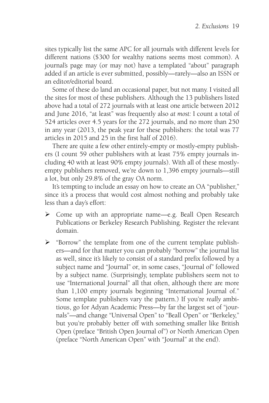sites typically list the same APC for all journals with different levels for different nations (\$300 for wealthy nations seems most common). A journal's page may (or may not) have a templated "about" paragraph added if an article is ever submitted, possibly—rarely—also an ISSN or an editor/editorial board.

Some of these do land an occasional paper, but not many. I visited all the sites for most of these publishers. Although the 13 publishers listed above had a total of 272 journals with at least one article between 2012 and June 2016, "at least" was frequently also *at most:* I count a total of 524 articles over 4.5 years for the 272 journals, and no more than 250 in any year (2013, the peak year for these publishers: the total was 77 articles in 2015 and 25 in the first half of 2016).

There are quite a few other entirely-empty or mostly-empty publishers (I count 59 other publishers with at least 75% empty journals including 40 with at least 90% empty journals). With all of these mostlyempty publishers removed, we're down to 1,396 empty journals—still a lot, but only 29.8% of the gray OA norm.

It's tempting to include an essay on how to create an OA "publisher," since it's a process that would cost almost nothing and probably take less than a day's effort:

- Come up with an appropriate name—e.g. Beall Open Research Publications or Berkeley Research Publishing. Register the relevant domain.
- "Borrow" the template from one of the current template publishers—and for that matter you can probably "borrow" the journal list as well, since it's likely to consist of a standard prefix followed by a subject name and "Journal" or, in some cases, "Journal of" followed by a subject name. (Surprisingly, template publishers seem not to use "International Journal" all that often, although there are more than 1,100 empty journals beginning "International Journal of." Some template publishers vary the pattern.) If you're *really* ambitious, go for Adyan Academic Press—by far the largest set of "journals"—and change "Universal Open" to "Beall Open" or "Berkeley," but you're probably better off with something smaller like British Open (preface "British Open Journal of") or North American Open (preface "North American Open" with "Journal" at the end).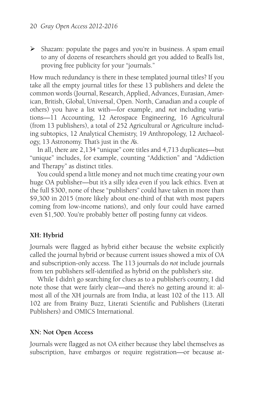$\triangleright$  Shazam: populate the pages and you're in business. A spam email to any of dozens of researchers should get you added to Beall's list, proving free publicity for your "journals."

How much redundancy is there in these templated journal titles? If you take all the empty journal titles for these 13 publishers and delete the common words (Journal, Research, Applied, Advances, Eurasian, American, British, Global, Universal, Open. North, Canadian and a couple of others) you have a list with—for example, and *not* including variations—11 Accounting, 12 Aerospace Engineering, 16 Agricultural (from 13 publishers), a total of 252 Agricultural or Agriculture including subtopics, 12 Analytical Chemistry, 19 Anthropology, 12 Archaeology, 13 Astronomy. That's just in the A's.

In all, there are 2,134 "unique" core titles and 4,713 duplicates—but "unique" includes, for example, counting "Addiction" and "Addiction and Therapy" as distinct titles.

You could spend a little money and not much time creating your own huge OA publisher—but it's a silly idea even if you lack ethics. Even at the full \$300, none of these "publishers" could have taken in more than \$9,300 in 2015 (more likely about one-third of that with most papers coming from low-income nations), and only four could have earned even \$1,500. You're probably better off posting funny cat videos.

#### **XH: Hybrid**

Journals were flagged as hybrid either because the website explicitly called the journal hybrid or because current issues showed a mix of OA and subscription-only access. The 113 journals do *not* include journals from ten publishers self-identified as hybrid on the publisher's site.

While I didn't go searching for clues as to a publisher's country, I did note those that were fairly clear—and there's no getting around it: almost all of the XH journals are from India, at least 102 of the 113. All 102 are from Brainy Buzz, Literati Scientific and Publishers (Literati Publishers) and OMICS International.

#### **XN: Not Open Access**

Journals were flagged as not OA either because they label themselves as subscription, have embargos or require registration—or because at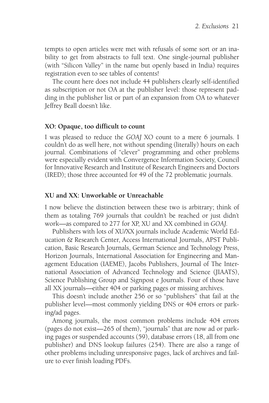tempts to open articles were met with refusals of some sort or an inability to get from abstracts to full text. One single-journal publisher (with "Silicon Valley" in the name but openly based in India) requires registration even to see tables of contents!

The count here does not include 44 publishers clearly self-identified as subscription or not OA at the publisher level: those represent padding in the publisher list or part of an expansion from OA to whatever Jeffrey Beall doesn't like.

#### **XO: Opaque, too difficult to count**

I was pleased to reduce the *GOAJ* XO count to a mere 6 journals. I couldn't do as well here, not without spending (literally) hours on each journal. Combinations of "clever" programming and other problems were especially evident with Convergence Information Society, Council for Innovative Research and Institute of Research Engineers and Doctors (IRED); those three accounted for 49 of the 72 problematic journals.

#### **XU and XX: Unworkable or Unreachable**

I now believe the distinction between these two is arbitrary; think of them as totaling 769 journals that couldn't be reached or just didn't work—as compared to 277 for XP, XU and XX combined in *GOAJ.*

Publishers with lots of XU/XX journals include Academic World Education & Research Center, Access International Journals, APST Publication, Basic Research Journals, German Science and Technology Press, Horizon Journals, International Association for Engineering and Management Education (IAEME), Jacobs Publishers, Journal of The International Association of Advanced Technology and Science (JIAATS), Science Publishing Group and Signpost e Journals. Four of those have all XX journals—either 404 or parking pages or missing archives.

This doesn't include another 256 or so "publishers" that fail at the publisher level—most commonly yielding DNS or 404 errors or parking/ad pages.

Among journals, the most common problems include 404 errors (pages do not exist—265 of them), "journals" that are now ad or parking pages or suspended accounts (59), database errors (18, all from one publisher) and DNS lookup failures (254). There are also a range of other problems including unresponsive pages, lack of archives and failure to ever finish loading PDFs.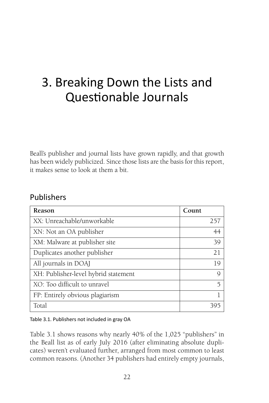# 3. Breaking Down the Lists and Questionable Journals

Beall's publisher and journal lists have grown rapidly, and that growth has been widely publicized. Since those lists are the basis for this report, it makes sense to look at them a bit.

# Publishers

| Reason                               | Count |
|--------------------------------------|-------|
| XX: Unreachable/unworkable           | 257   |
| XN: Not an OA publisher              | 44    |
| XM: Malware at publisher site        | 39    |
| Duplicates another publisher         | 21    |
| All journals in DOAJ                 | 19    |
| XH: Publisher-level hybrid statement | Q     |
| XO: Too difficult to unravel         | 5     |
| FP: Entirely obvious plagiarism      |       |
| Total                                |       |

#### Table 3.1. Publishers not included in gray OA

Table 3.1 shows reasons why nearly 40% of the 1,025 "publishers" in the Beall list as of early July 2016 (after eliminating absolute duplicates) weren't evaluated further, arranged from most common to least common reasons. (Another 34 publishers had entirely empty journals,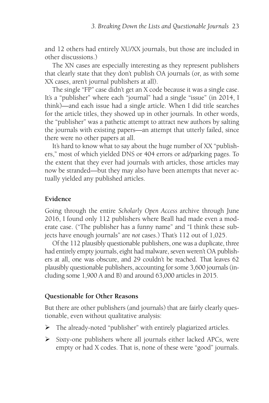and 12 others had entirely XU/XX journals, but those are included in other discussions.)

The XN cases are especially interesting as they represent publishers that clearly state that they don't publish OA journals (or, as with some XX cases, aren't journal publishers at all).

The single "FP" case didn't get an X code because it was a single case. It's a "publisher" where each "journal" had a single "issue" (in 2014, I think)—and each issue had a single article. When I did title searches for the article titles, they showed up in other journals. In other words, the "publisher" was a pathetic attempt to attract new authors by salting the journals with existing papers—an attempt that utterly failed, since there were no other papers at all.

It's hard to know what to say about the huge number of XX "publishers," most of which yielded DNS or 404 errors or ad/parking pages. To the extent that they ever had journals with articles, those articles may now be stranded—but they may also have been attempts that never actually yielded any published articles.

#### **Evidence**

Going through the entire *Scholarly Open Access* archive through June 2016, I found only 112 publishers where Beall had made even a moderate case. ("The publisher has a funny name" and "I think these subjects have enough journals" are *not* cases.) That's 112 out of 1,025.

Of the 112 plausibly questionable publishers, one was a duplicate, three had entirely empty journals, eight had malware, seven weren't OA publishers at all, one was obscure, and 29 couldn't be reached. That leaves 62 plausibly questionable publishers, accounting for some 3,600 journals (including some 1,900 A and B) and around 63,000 articles in 2015.

#### **Questionable for Other Reasons**

But there are other publishers (and journals) that are fairly clearly questionable, even without qualitative analysis:

- The already-noted "publisher" with entirely plagiarized articles.
- $\triangleright$  Sixty-one publishers where all journals either lacked APCs, were empty or had X codes. That is, none of these were "good" journals.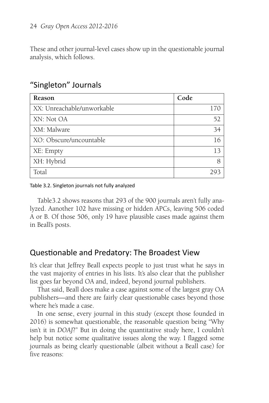These and other journal-level cases show up in the questionable journal analysis, which follows.

| Reason                     | Code |
|----------------------------|------|
| XX: Unreachable/unworkable | 170  |
| XN: Not OA                 | 52   |
| XM: Malware                | 34   |
| XO: Obscure/uncountable    | 16   |
| XE: Empty                  | 13   |
| XH: Hybrid                 | 8    |
| Total                      |      |

# "Singleton" Journals

Table 3.2. Singleton journals not fully analyzed

Table3.2 shows reasons that 293 of the 900 journals aren't fully analyzed. Aanother 102 have missing or hidden APCs, leaving 506 coded A or B. Of those 506, only 19 have plausible cases made against them in Beall's posts.

# Questionable and Predatory: The Broadest View

It's clear that Jeffrey Beall expects people to just trust what he says in the vast majority of entries in his lists. It's also clear that the publisher list goes far beyond OA and, indeed, beyond journal publishers.

That said, Beall does make a case against some of the largest gray OA publishers—and there are fairly clear questionable cases beyond those where he's made a case.

In one sense, every journal in this study (except those founded in 2016) is somewhat questionable, the reasonable question being "Why isn't it in *DOAJ*?" But in doing the quantitative study here, I couldn't help but notice some qualitative issues along the way. I flagged some journals as being clearly questionable (albeit without a Beall case) for five reasons: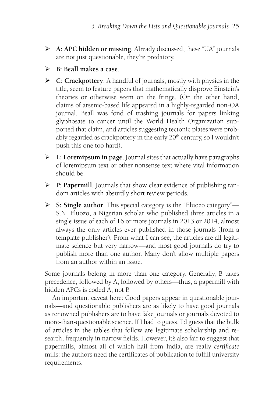- **A: APC hidden or missing**. Already discussed, these "UA" journals are not just questionable, they're predatory.
- **B: Beall makes a case**.
- **C: Crackpottery**. A handful of journals, mostly with physics in the title, seem to feature papers that mathematically disprove Einstein's theories or otherwise seem on the fringe. (On the other hand, claims of arsenic-based life appeared in a highly-regarded non-OA journal, Beall was fond of trashing journals for papers linking glyphosate to cancer until the World Health Organization supported that claim, and articles suggesting tectonic plates were probably regarded as crackpottery in the early 20<sup>th</sup> century, so I wouldn't push this one too hard).
- **L: Loremipsum in page**. Journal sites that actually have paragraphs of loremipsum text or other nonsense text where vital information should be.
- **P**: **Papermill**. Journals that show clear evidence of publishing random articles with absurdly short review periods.
- **S: Single author**. This special category is the "Eluozo category"— S.N. Eluozo, a Nigerian scholar who published three articles in a single issue of each of 16 or more journals in 2013 or 2014, almost always the only articles ever published in those journals (from a template publisher). From what I can see, the articles are all legitimate science but very narrow—and most good journals do try to publish more than one author. Many don't allow multiple papers from an author within an issue.

Some journals belong in more than one category. Generally, B takes precedence, followed by A, followed by others—thus, a papermill with hidden APCs is coded A, not P.

An important caveat here: Good papers appear in questionable journals—and questionable publishers are as likely to have good journals as renowned publishers are to have fake journals or journals devoted to more-than-questionable science. If I had to guess, I'd guess that the bulk of articles in the tables that follow are legitimate scholarship and research, frequently in narrow fields. However, it's also fair to suggest that papermills, almost all of which hail from India, are really *certificate* mills: the authors need the certificates of publication to fulfill university requirements.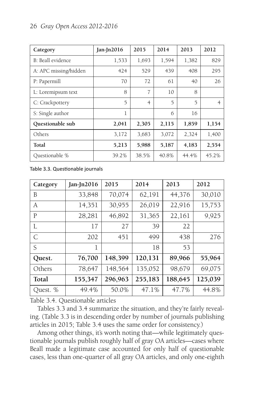#### 26 *Gray Open Access 2012-2016*

| Category              | Jan-Jn $2016$ | 2015           | 2014  | 2013  | 2012           |
|-----------------------|---------------|----------------|-------|-------|----------------|
| B: Beall evidence     | 1,533         | 1,693          | 1,594 | 1,382 | 829            |
| A: APC missing/hidden | 424           | 529            | 439   | 408   | 295            |
| P: Papermill          | 70            | 72             | 61    | 40    | 26             |
| L: Loremipsum text    | 8             | 7              | 10    | 8     |                |
| C: Crackpottery       | 5             | $\overline{4}$ | 5     | 5     | $\overline{4}$ |
| S: Single author      | 1             |                | 6     | 16    |                |
| Questionable sub      | 2,041         | 2,305          | 2,115 | 1,859 | 1,154          |
| Others                | 3,172         | 3,683          | 3,072 | 2,324 | 1,400          |
| Total                 | 5,213         | 5,988          | 5,187 | 4,183 | 2,554          |
| Questionable %        | 39.2%         | 38.5%          | 40.8% | 44.4% | 45.2%          |

Table 3.3. Questionable journals

| Category     | Jan-Jn $2016$ | 2015    | 2014    | 2013    | 2012    |
|--------------|---------------|---------|---------|---------|---------|
| B            | 33,848        | 70,074  | 62,191  | 44,376  | 30,010  |
| A            | 14,351        | 30,955  | 26,019  | 22,916  | 15,753  |
| P            | 28,281        | 46,892  | 31,365  | 22,161  | 9,925   |
| L            | 17            | 27      | 39      | 22      |         |
| $\mathsf{C}$ | 202           | 451     | 499     | 438     | 276     |
| S            | 1             |         | 18      | 53      |         |
| Quest.       | 76,700        | 148,399 | 120,131 | 89,966  | 55,964  |
| Others       | 78,647        | 148,564 | 135,052 | 98,679  | 69,075  |
| Total        | 155,347       | 296,963 | 255,183 | 188,645 | 125,039 |
| Quest. %     | 49.4%         | 50.0%   | 47.1%   | 47.7%   | 44.8%   |

Table 3.4. Questionable articles

Tables 3.3 and 3.4 summarize the situation, and they're fairly revealing. (Table 3.3 is in descending order by number of journals publishing articles in 2015; Table 3.4 uses the same order for consistency.)

Among other things, it's worth noting that—while legitimately questionable journals publish roughly half of gray OA articles—cases where Beall made a legitimate case accounted for only half of questionable cases, less than one-quarter of all gray OA articles, and only one-eighth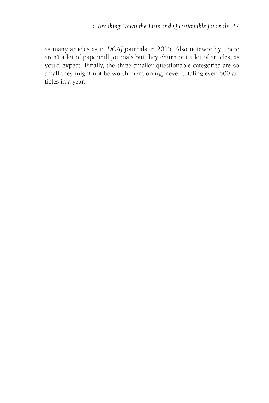as many articles as in *DOAJ* journals in 2015. Also noteworthy: there aren't a lot of papermill journals but they churn out a lot of articles, as you'd expect. Finally, the three smaller questionable categories are so small they might not be worth mentioning, never totaling even 600 articles in a year.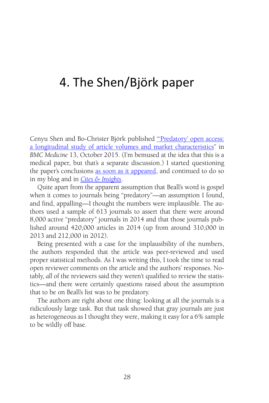# 4. The Shen/Björk paper

Cenyu Shen and Bo-Christer Björk published "Predatory' open access: [a longitudinal study of article volumes and market characteristics" in](http://bmcmedicine.biomedcentral.com/articles/10.1186/s12916-015-0469-2) *BMC Medicine* 13, October 2015. (I'm bemused at the idea that this is a medical paper, but that's a separate discussion.) I started questioning the paper's conclusions [as soon as it appeared,](http://walt.lishost.org/2015/10/careful-reading-and-questionable-extrapolation/) and continued to do so in my blog and in *[Cites & Insights](http://citesandinsights.info/civ16i1.pdf)*.

Quite apart from the apparent assumption that Beall's word is gospel when it comes to journals being "predatory"—an assumption I found, and find, appalling—I thought the numbers were implausible. The authors used a sample of 613 journals to assert that there were around 8,000 active "predatory" journals in 2014 and that those journals published around 420,000 articles in 2014 (up from around 310,000 in 2013 and 212,000 in 2012).

Being presented with a case for the implausibility of the numbers, the authors responded that the article was peer-reviewed and used proper statistical methods. As I was writing this, I took the time to read open reviewer comments on the article and the authors' responses. Notably, *all* of the reviewers said they weren't qualified to review the statistics—and there were certainly questions raised about the assumption that to be on Beall's list was to be predatory.

The authors are right about one thing: looking at all the journals is a ridiculously large task. But that task showed that gray journals are just as heterogeneous as I thought they were, making it easy for a 6% sample to be wildly off base.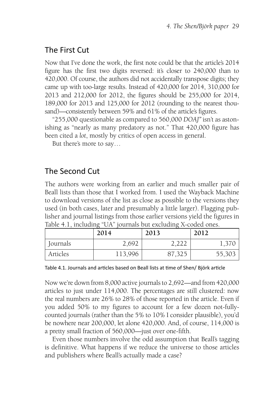# The First Cut

Now that I've done the work, the first note could be that the article's 2014 figure has the first two digits reversed: it's closer to 240,000 than to 420,000. Of course, the authors did not accidentally transpose digits; they came up with too-large results. Instead of 420,000 for 2014, 310,000 for 2013 and 212,000 for 2012, the figures should be 255,000 for 2014, 189,000 for 2013 and 125,000 for 2012 (rounding to the nearest thousand)—consistently between 59% and 61% of the article's figures.

"255,000 questionable as compared to 560,000 *DOAJ"* isn't as astonishing as "nearly as many predatory as not." That 420,000 figure has been cited a *lot*, mostly by critics of open access in general.

But there's more to say…

# The Second Cut

The authors were working from an earlier and much smaller pair of Beall lists than those that I worked from. I used the Wayback Machine to download versions of the list as close as possible to the versions they used (in both cases, later and presumably a little larger). Flagging publisher and journal listings from those earlier versions yield the figures in Table 4.1, including "UA" journals but excluding X-coded ones.

|          | 2014    | 2013   | 2012   |
|----------|---------|--------|--------|
| Journals | 2,692   | าาา    |        |
| Articles | 113,996 | 87,325 | 55,303 |

Table 4.1. Journals and articles based on Beall lists at time of Shen/ Björk article

Now we're down from 8,000 active journals to 2,692—and from 420,000 articles to just under 114,000. The percentages are still clustered: now the real numbers are 26% to 28% of those reported in the article. Even if you added 50% to my figures to account for a few dozen not-fullycounted journals (rather than the 5% to 10% I consider plausible), you'd be nowhere near 200,000, let alone 420,000. And, of course, 114,000 is a pretty small fraction of 560,000—just over one-fifth.

Even those numbers involve the odd assumption that Beall's tagging is definitive. What happens if we reduce the universe to those articles and publishers where Beall's actually made a case?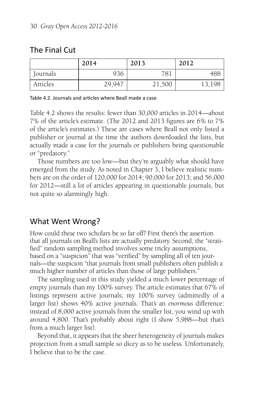# The Final Cut

|          | 2014   | 2013   | 2012   |
|----------|--------|--------|--------|
| Journals | 936    | 781    | 488    |
| Articles | 29,947 | 21,500 | 13,198 |

Table 4.2. Journals and articles where Beall made a case

Table 4.2 shows the results: fewer than 30,000 articles in 2014—about 7% of the article's estimate. (The 2012 and 2013 figures are 6% to 7% of the article's estimates.) These are cases where Beall not only listed a publisher or journal at the time the authors downloaded the lists, but actually made a case for the journals or publishers being questionable or "predatory."

Those numbers are too low—but they're arguably what should have emerged from the study. As noted in Chapter 3, I believe realistic numbers are on the order of 120,000 for 2014; 90,000 for 2013; and 56,000 for 2012—still a *lot* of articles appearing in questionable journals, but not quite so alarmingly high.

# What Went Wrong?

How could these two scholars be so far off? First there's the assertion that all journals on Beall's lists are actually predatory. Second, the "stratified" random sampling method involves some tricky assumptions, based on a "suspicion" that was "verified" by sampling all of ten journals—the suspicion "that journals from small publishers often publish a much higher number of articles than those of large publishers."

The sampling used in this study yielded a much lower percentage of empty journals than my 100% survey. The article estimates that 67% of listings represent active journals; my 100% survey (admittedly of a larger list) shows 40% active journals. That's an *enormous* difference: instead of 8,000 active journals from the smaller list, you wind up with around 4,800. That's probably about right (I show 5,988—but that's from a much larger list).

Beyond that, it appears that the sheer heterogeneity of journals makes projection from a small sample so dicey as to be useless. Unfortunately, I believe that to be the case.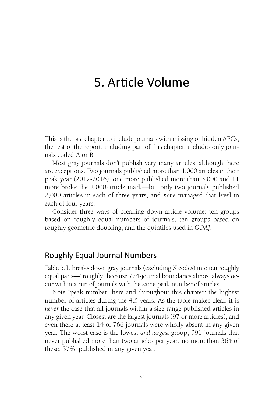# 5. Article Volume

This is the last chapter to include journals with missing or hidden APCs; the rest of the report, including part of this chapter, includes only journals coded A or B.

Most gray journals don't publish very many articles, although there are exceptions. Two journals published more than 4,000 articles in their peak year (2012-2016), one more published more than 3,000 and 11 more broke the 2,000-article mark—but only two journals published 2,000 articles in each of three years, and *none* managed that level in each of four years.

Consider three ways of breaking down article volume: ten groups based on roughly equal numbers of journals, ten groups based on roughly geometric doubling, and the quintiles used in *GOAJ*.

### Roughly Equal Journal Numbers

Table 5.1. breaks down gray journals (excluding X codes) into ten roughly equal parts—"roughly" because 774-journal boundaries almost always occur within a run of journals with the same peak number of articles.

Note "peak number" here and throughout this chapter: the highest number of articles during the 4.5 years. As the table makes clear, it is *never* the case that all journals within a size range published articles in any given year. Closest are the largest journals (97 or more articles), and even there at least 14 of 766 journals were wholly absent in any given year. The worst case is the lowest *and largest* group, 991 journals that never published more than two articles per year: no more than 364 of these, 37%, published in any given year.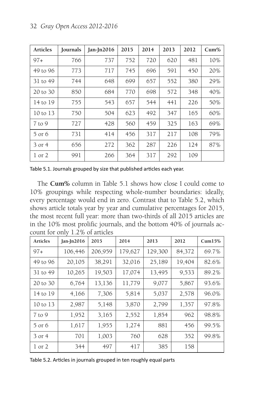| <b>Articles</b> | Journals | $Jan-In2016$ | 2015 | 2014 | 2013 | 2012 | $Cum\%$ |
|-----------------|----------|--------------|------|------|------|------|---------|
| $97+$           | 766      | 737          | 752  | 720  | 620  | 481  | 10%     |
| 49 to 96        | 773      | 717          | 745  | 696  | 591  | 450  | 20%     |
| 31 to 49        | 744      | 648          | 699  | 657  | 552  | 380  | 29%     |
| 20 to 30        | 850      | 684          | 770  | 698  | 572  | 348  | 40%     |
| 14 to 19        | 755      | 543          | 657  | 544  | 441  | 226  | 50%     |
| 10 to 13        | 750      | 504          | 623  | 492  | 347  | 165  | 60%     |
| $7$ to 9        | 727      | 428          | 560  | 459  | 325  | 163  | 69%     |
| 5 or 6          | 731      | 414          | 456  | 317  | 217  | 108  | 79%     |
| 3 or 4          | 656      | 272          | 362  | 287  | 226  | 124  | 87%     |
| 1 or 2          | 991      | 266          | 364  | 317  | 292  | 109  |         |

Table 5.1. Journals grouped by size that published articles each year.

The **Cum%** column in Table 5.1 shows how close I could come to 10% groupings while respecting whole-number boundaries: ideally, every percentage would end in zero. Contrast that to Table 5.2, which shows article totals year by year and cumulative percentages for 2015, the most recent full year: more than two-thirds of all 2015 articles are in the 10% most prolific journals, and the bottom 40% of journals account for only 1.2% of articles

| <b>Articles</b> | Jan-J $n2016$ | 2015    | 2014    | 2013    | 2012   | Cum15% |
|-----------------|---------------|---------|---------|---------|--------|--------|
| $97+$           | 106,446       | 206,959 | 179,627 | 129,300 | 84,372 | 69.7%  |
| 49 to 96        | 20,105        | 38,291  | 32,016  | 25,189  | 19,404 | 82.6%  |
| 31 to 49        | 10,265        | 19,503  | 17,074  | 13,495  | 9,533  | 89.2%  |
| 20 to 30        | 6,764         | 13,136  | 11,779  | 9,077   | 5,867  | 93.6%  |
| 14 to 19        | 4,166         | 7,306   | 5,814   | 5,037   | 2,578  | 96.0%  |
| 10 to 13        | 2,987         | 5,148   | 3,870   | 2,799   | 1,357  | 97.8%  |
| $7$ to 9        | 1,952         | 3,165   | 2,552   | 1,854   | 962    | 98.8%  |
| 5 or 6          | 1,617         | 1,955   | 1,274   | 881     | 456    | 99.5%  |
| 3 or 4          | 701           | 1,003   | 760     | 628     | 352    | 99.8%  |
| 1 or 2          | 344           | 497     | 417     | 385     | 158    |        |

Table 5.2. Articles in journals grouped in ten roughly equal parts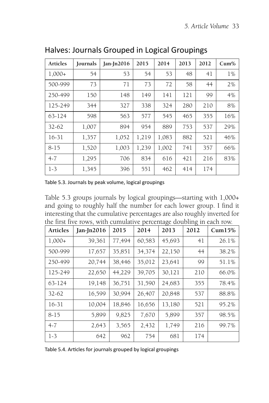| Articles  | Journals | $Jan-In2016$ | 2015  | 2014  | 2013 | 2012 | $Cum\%$ |
|-----------|----------|--------------|-------|-------|------|------|---------|
| $1,000+$  | 54       | 53           | 54    | 53    | 48   | 41   | $1\%$   |
| 500-999   | 73       | 71           | 73    | 72    | 58   | 44   | 2%      |
| 250-499   | 150      | 148          | 149   | 141   | 121  | 99   | 4%      |
| 125-249   | 344      | 327          | 338   | 324   | 280  | 210  | 8%      |
| 63-124    | 598      | 563          | 577   | 545   | 465  | 355  | 16%     |
| $32 - 62$ | 1,007    | 894          | 954   | 889   | 753  | 537  | 29%     |
| $16-31$   | 1,357    | 1,052        | 1,219 | 1,083 | 882  | 521  | 46%     |
| $8 - 15$  | 1,520    | 1,003        | 1,239 | 1,002 | 741  | 357  | 66%     |
| $4 - 7$   | 1,295    | 706          | 834   | 616   | 421  | 216  | 83%     |
| $1 - 3$   | 1,345    | 396          | 551   | 462   | 414  | 174  |         |

Halves: Journals Grouped in Logical Groupings

Table 5.3. Journals by peak volume, logical groupings

Table 5.3 groups journals by logical groupings—starting with 1,000+ and going to roughly half the number for each lower group. I find it interesting that the cumulative percentages are also roughly inverted for the first five rows, with cumulative percentage doubling in each row.

| <b>Articles</b> | $Jan-In2016$ | 2015   | 2014   | 2013   | 2012 | $Cum15\%$ |
|-----------------|--------------|--------|--------|--------|------|-----------|
| $1,000+$        | 39,361       | 77,494 | 60,583 | 45,693 | 41   | 26.1%     |
| 500-999         | 17,657       | 35,851 | 34,374 | 22,150 | 44   | 38.2%     |
| 250-499         | 20,744       | 38,446 | 35,012 | 23,641 | 99   | 51.1%     |
| 125-249         | 22,650       | 44,229 | 39,705 | 30,121 | 210  | 66.0%     |
| 63-124          | 19,148       | 36,751 | 31,590 | 24,683 | 355  | 78.4%     |
| $32 - 62$       | 16,599       | 30,994 | 26,407 | 20,848 | 537  | 88.8%     |
| 16-31           | 10,004       | 18,846 | 16,656 | 13,180 | 521  | 95.2%     |
| $8 - 15$        | 5,899        | 9,825  | 7.670  | 5,899  | 357  | 98.5%     |
| $4 - 7$         | 2,643        | 3,565  | 2,432  | 1,749  | 216  | 99.7%     |
| $1-3$           | 642          | 962    | 754    | 681    | 174  |           |

Table 5.4. Articles for journals grouped by logical groupings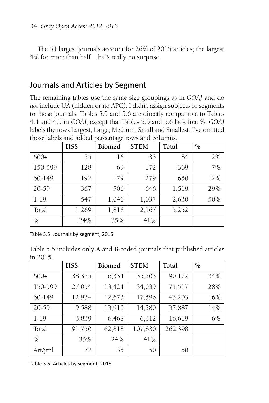The 54 largest journals account for 26% of 2015 articles; the largest 4% for more than half. That's really no surprise.

### Journals and Articles by Segment

The remaining tables use the same size groupings as in *GOAJ* and do *not* include UA (hidden or no APC): I didn't assign subjects or segments to those journals. Tables 5.5 and 5.6 are directly comparable to Tables 4.4 and 4.5 in *GOAJ*, except that Tables 5.5 and 5.6 lack free %. *GOAJ* labels the rows Largest, Large, Medium, Small and Smallest; I've omitted those labels and added percentage rows and columns.

|          | <b>HSS</b> | ິຕ<br><b>Biomed</b> | <b>STEM</b> | Total | $\frac{0}{0}$ |
|----------|------------|---------------------|-------------|-------|---------------|
| $600+$   | 35         | 16                  | 33          | 84    | 2%            |
| 150-599  | 128        | 69                  | 172         | 369   | 7%            |
| 60-149   | 192        | 179                 | 279         | 650   | 12%           |
| 20-59    | 367        | 506                 | 646         | 1,519 | 29%           |
| $1 - 19$ | 547        | 1,046               | 1,037       | 2,630 | 50%           |
| Total    | 1,269      | 1,816               | 2,167       | 5,252 |               |
| $\%$     | 24%        | 35%                 | 41%         |       |               |

Table 5.5. Journals by segment, 2015

Table 5.5 includes only A and B-coded journals that published articles in 2015.

|          | <b>HSS</b> | <b>Biomed</b> | <b>STEM</b> | Total   | $\%$ |
|----------|------------|---------------|-------------|---------|------|
| $600+$   | 38,335     | 16,334        | 35,503      | 90,172  | 34%  |
| 150-599  | 27,054     | 13,424        | 34,039      | 74,517  | 28%  |
| 60-149   | 12,934     | 12,673        | 17,596      | 43,203  | 16%  |
| 20-59    | 9,588      | 13,919        | 14,380      | 37,887  | 14%  |
| $1 - 19$ | 3,839      | 6,468         | 6,312       | 16,619  | 6%   |
| Total    | 91,750     | 62,818        | 107,830     | 262,398 |      |
| %        | 35%        | 24%           | 41%         |         |      |
| Art/jrnl | 72         | 35            | 50          | 50      |      |

Table 5.6. Articles by segment, 2015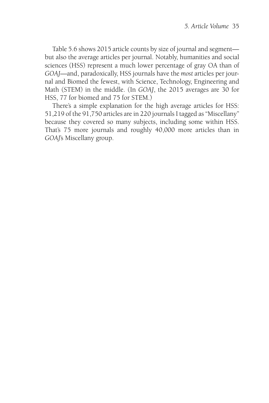Table 5.6 shows 2015 article counts by size of journal and segment but also the average articles per journal. Notably, humanities and social sciences (HSS) represent a much lower percentage of gray OA than of *GOAJ*—and, paradoxically, HSS journals have the *most* articles per journal and Biomed the fewest, with Science, Technology, Engineering and Math (STEM) in the middle. (In *GOAJ*, the 2015 averages are 30 for HSS, 77 for biomed and 75 for STEM.)

There's a simple explanation for the high average articles for HSS: 51,219 of the 91,750 articles are in 220 journals I tagged as "Miscellany" because they covered so many subjects, including some within HSS. That's 75 more journals and roughly 40,000 more articles than in *GOAJ*'s Miscellany group.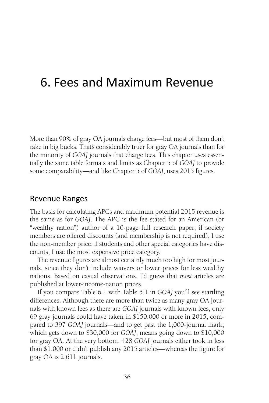## 6. Fees and Maximum Revenue

More than 90% of gray OA journals charge fees—but most of them don't rake in big bucks. That's considerably truer for gray OA journals than for the minority of *GOAJ* journals that charge fees. This chapter uses essentially the same table formats and limits as Chapter 5 of *GOAJ* to provide some comparability—and like Chapter 5 of *GOAJ*, uses 2015 figures.

#### Revenue Ranges

The basis for calculating APCs and maximum potential 2015 revenue is the same as for *GOAJ*. The APC is the fee stated for an American (or "wealthy nation") author of a 10-page full research paper; if society members are offered discounts (and membership is not required), I use the non-member price; if students and other special categories have discounts, I use the most expensive price category.

The revenue figures are almost certainly much too high for most journals, since they don't include waivers or lower prices for less wealthy nations. Based on casual observations, I'd guess that *most* articles are published at lower-income-nation prices.

If you compare Table 6.1 with Table 5.1 in *GOAJ* you'll see startling differences. Although there are more than twice as many gray OA journals with known fees as there are *GOAJ* journals with known fees, only 69 gray journals could have taken in \$150,000 or more in 2015, compared to 397 *GOAJ* journals—and to get past the 1,000-journal mark, which gets down to \$30,000 for *GOAJ*, means going down to \$10,000 for gray OA. At the very bottom, 428 *GOAJ* journals either took in less than \$1,000 or didn't publish any 2015 articles—whereas the figure for gray OA is 2,611 journals.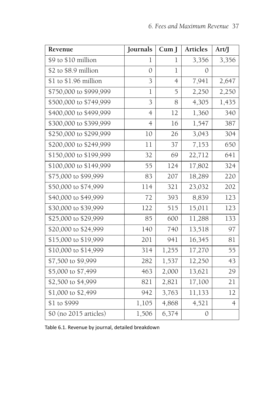| Revenue                | Journals       | CumJ           | Articles      | Art/J          |
|------------------------|----------------|----------------|---------------|----------------|
| \$9 to \$10 million    | 1              | 1              | 3,356         | 3,356          |
| \$2 to \$8.9 million   | $\mathcal{O}$  | $\mathbf{l}$   | 0             |                |
| \$1 to \$1.96 million  | 3              | $\overline{4}$ | 7,941         | 2,647          |
| \$750,000 to \$999,999 | 1              | 5              | 2,250         | 2,250          |
| \$500,000 to \$749,999 | 3              | 8              | 4,305         | 1,435          |
| \$400,000 to \$499,999 | $\overline{4}$ | 12             | 1,360         | 340            |
| \$300,000 to \$399,999 | $\overline{4}$ | 16             | 1,547         | 387            |
| \$250,000 to \$299,999 | 10             | 26             | 3,043         | 304            |
| \$200,000 to \$249,999 | 11             | 37             | 7,153         | 650            |
| \$150,000 to \$199,999 | 32             | 69             | 22,712        | 641            |
| \$100,000 to \$149,999 | 55             | 124            | 17,802        | 324            |
| \$75,000 to \$99,999   | 83             | 207            | 18,289        | 220            |
| \$50,000 to \$74,999   | 114            | 321            | 23,032        | 202            |
| \$40,000 to \$49,999   | 72             | 393            | 8,839         | 123            |
| \$30,000 to \$39,999   | 122            | 515            | 15,011        | 123            |
| \$25,000 to \$29,999   | 85             | 600            | 11,288        | 133            |
| \$20,000 to \$24,999   | 140            | 740            | 13,518        | 97             |
| \$15,000 to \$19,999   | 201            | 941            | 16,345        | 81             |
| \$10,000 to \$14,999   | 314            | 1,255          | 17,270        | 55             |
| \$7,500 to \$9,999     | 282            | 1,537          | 12,250        | 43             |
| \$5,000 to \$7,499     | 463            | 2,000          | 13,621        | 29             |
| \$2,500 to \$4,999     | 821            | 2,821          | 17,100        | 21             |
| \$1,000 to \$2,499     | 942            | 3,763          | 11,133        | 12             |
| \$1 to \$999           | 1,105          | 4,868          | 4,521         | $\overline{4}$ |
| \$0 (no 2015 articles) | 1,506          | 6,374          | $\mathcal{O}$ |                |

Table 6.1. Revenue by journal, detailed breakdown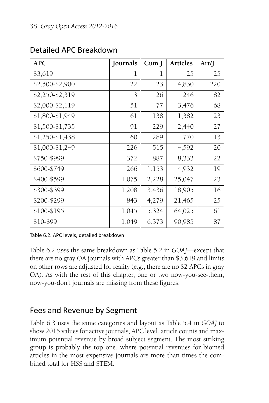| <b>APC</b>      | Journals | $Cum$ J | <b>Articles</b> | Art/J |
|-----------------|----------|---------|-----------------|-------|
| \$3,619         | 1        | 1       | 25              | 25    |
| \$2,500-\$2,900 | 22       | 23      | 4,830           | 220   |
| \$2,250-\$2,319 | 3        | 26      | 246             | 82    |
| \$2,000-\$2,119 | 51       | 77      | 3,476           | 68    |
| \$1,800-\$1,949 | 61       | 138     | 1,382           | 23    |
| \$1,500-\$1,735 | 91       | 229     | 2,440           | 27    |
| \$1,250-\$1,438 | 60       | 289     | 770             | 13    |
| \$1,000-\$1,249 | 226      | 515     | 4,592           | 20    |
| \$750-\$999     | 372      | 887     | 8,333           | 22    |
| \$600-\$749     | 266      | 1,153   | 4,932           | 19    |
| \$400-\$599     | 1,075    | 2,228   | 25,047          | 23    |
| \$300-\$399     | 1,208    | 3,436   | 18,905          | 16    |
| \$200-\$299     | 843      | 4,279   | 21,465          | 25    |
| \$100-\$195     | 1,045    | 5,324   | 64,025          | 61    |
| \$10-\$99       | 1,049    | 6,373   | 90,985          | 87    |

## Detailed APC Breakdown

Table 6.2. APC levels, detailed breakdown

Table 6.2 uses the same breakdown as Table 5.2 in *GOAJ*—except that there are no gray OA journals with APCs greater than \$3,619 and limits on other rows are adjusted for reality (e.g., there are no \$2 APCs in gray OA). As with the rest of this chapter, one or two now-you-see-them, now-you-don't journals are missing from these figures.

## Fees and Revenue by Segment

Table 6.3 uses the same categories and layout as Table 5.4 in *GOAJ* to show 2015 values for active journals, APC level, article counts and maximum potential revenue by broad subject segment. The most striking group is probably the top one, where potential revenues for biomed articles in the most expensive journals are more than times the combined total for HSS and STEM.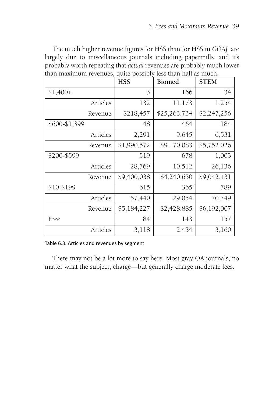The much higher revenue figures for HSS than for HSS in *GOAJ* are largely due to miscellaneous journals including papermills, and it's probably worth repeating that *actual* revenues are probably much lower than maximum revenues, quite possibly less than half as much.

|               |          | <b>HSS</b>  | <b>Biomed</b> | <b>STEM</b> |
|---------------|----------|-------------|---------------|-------------|
| $$1,400+$     |          | 3           | 166           | 34          |
|               | Articles | 132         | 11,173        | 1,254       |
|               | Revenue  | \$218,457   | \$25,263,734  | \$2,247,256 |
| \$600-\$1,399 |          | 48          | 464           | 184         |
|               | Articles | 2,291       | 9,645         | 6,531       |
|               | Revenue  | \$1,990,572 | \$9,170,083   | \$5,752,026 |
| \$200-\$599   |          | 519         | 678           | 1,003       |
|               | Articles | 28,769      | 10,512        | 26,136      |
|               | Revenue  | \$9,400,038 | \$4,240,630   | \$9,042,431 |
| \$10-\$199    |          | 615         | 365           | 789         |
|               | Articles | 57,440      | 29,054        | 70,749      |
|               | Revenue  | \$5,184,227 | \$2,428,885   | \$6,192,007 |
| Free          |          | 84          | 143           | 157         |
|               | Articles | 3,118       | 2,434         | 3,160       |

Table 6.3. Articles and revenues by segment

There may not be a lot more to say here. Most gray OA journals, no matter what the subject, charge—but generally charge moderate fees.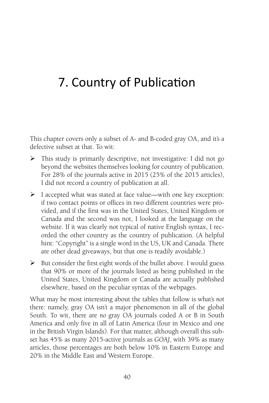# 7. Country of Publication

This chapter covers only a subset of A- and B-coded gray OA, and it's a defective subset at that. To wit:

- This study is primarily descriptive, not investigative: I did not go beyond the websites themselves looking for country of publication. For 28% of the journals active in 2015 (25% of the 2015 articles), I did not record a country of publication at all.
- $\triangleright$  I accepted what was stated at face value—with one key exception: if two contact points or offices in two different countries were provided, and if the first was in the United States, United Kingdom or Canada and the second was not, I looked at the language on the website. If it was clearly not typical of native English syntax, I recorded the other country as the country of publication. (A helpful hint: "Copyright" is a single word in the US, UK and Canada. There are other dead giveaways, but that one is readily avoidable.)
- $\triangleright$  But consider the first eight words of the bullet above. I would guess that 90% or more of the journals listed as being published in the United States, United Kingdom or Canada are actually published elsewhere, based on the peculiar syntax of the webpages.

What may be most interesting about the tables that follow is what's *not* there: namely, gray OA isn't a major phenomenon in all of the global South. To wit, there are *no* gray OA journals coded A or B in South America and only five in all of Latin America (four in Mexico and one in the British Virgin Islands). For that matter, although overall this subset has 45% as many 2015-active journals as *GOAJ*, with 39% as many articles, those percentages are both below 10% in Eastern Europe and 20% in the Middle East and Western Europe.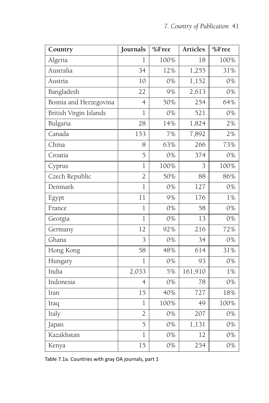| Country                | Journals       | %Free | <b>Articles</b> | %Free |
|------------------------|----------------|-------|-----------------|-------|
| Algeria                | $\mathbf 1$    | 100%  | 18              | 100%  |
| Australia              | 34             | 12%   | 1,255           | 31%   |
| Austria                | 10             | 0%    | 1,152           | 0%    |
| Bangladesh             | 22             | 9%    | 2,613           | 0%    |
| Bosnia and Herzegovina | $\overline{4}$ | 50%   | 254             | 64%   |
| British Virgin Islands | $\mathbf 1$    | 0%    | 521             | 0%    |
| Bulgaria               | 28             | 14%   | 1,824           | 2%    |
| Canada                 | 153            | 7%    | 7,892           | 2%    |
| China                  | 8              | 63%   | 266             | 73%   |
| Croatia                | 5              | 0%    | 374             | 0%    |
| Cyprus                 | $\mathbf{1}$   | 100%  | 3               | 100%  |
| Czech Republic         | $\overline{2}$ | 50%   | 88              | 86%   |
| Denmark                | $\overline{1}$ | 0%    | 127             | $0\%$ |
| Egypt                  | 11             | 9%    | 176             | 1%    |
| France                 | $\mathbf 1$    | 0%    | 58              | 0%    |
| Georgia                | $\overline{1}$ | 0%    | 13              | 0%    |
| Germany                | 12             | 92%   | 216             | 72%   |
| Ghana                  | 3              | 0%    | 34              | 0%    |
| Hong Kong              | 58             | 48%   | 614             | 31%   |
| Hungary                | $\overline{1}$ | 0%    | 93              | 0%    |
| India                  | 2,033          | 5%    | 161,910         | 1%    |
| Indonesia              | $\overline{4}$ | 0%    | 78              | 0%    |
| Iran                   | 15             | 40%   | 727             | 18%   |
| Iraq                   | $\mathbf 1$    | 100%  | 49              | 100%  |
| Italy                  | $\overline{2}$ | 0%    | 207             | 0%    |
| Japan                  | 5              | 0%    | 1,131           | 0%    |
| Kazakhstan             | $\mathbf 1$    | 0%    | 12              | 0%    |
| Kenya                  | 15             | 0%    | 254             | 0%    |

Table 7.1a. Countries with gray OA journals, part 1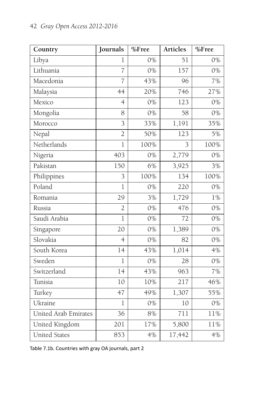| Country              | Journals       | %Free | <b>Articles</b> | %Free |
|----------------------|----------------|-------|-----------------|-------|
| Libya                | 1              | 0%    | 51              | 0%    |
| Lithuania            | $\overline{7}$ | 0%    | 157             | 0%    |
| Macedonia            | $\overline{7}$ | 43%   | 96              | 7%    |
| Malaysia             | 44             | 20%   | 746             | 27%   |
| Mexico               | $\overline{4}$ | 0%    | 123             | 0%    |
| Mongolia             | 8              | 0%    | 58              | 0%    |
| Morocco              | $\overline{3}$ | 33%   | 1,191           | 35%   |
| Nepal                | $\overline{2}$ | 50%   | 123             | 5%    |
| Netherlands          | $\mathbf{1}$   | 100%  | 3               | 100%  |
| Nigeria              | 403            | 0%    | 2,779           | 0%    |
| Pakistan             | 150            | 6%    | 3,925           | 3%    |
| Philippines          | 3              | 100%  | 134             | 100%  |
| Poland               | $\mathbf{l}$   | 0%    | 220             | 0%    |
| Romania              | 29             | 3%    | 1,729           | $1\%$ |
| Russia               | $\overline{2}$ | 0%    | 476             | 0%    |
| Saudi Arabia         | $\mathbf 1$    | 0%    | 72              | 0%    |
| Singapore            | 20             | 0%    | 1,389           | 0%    |
| Slovakia             | $\overline{4}$ | 0%    | 82              | 0%    |
| South Korea          | 14             | 43%   | 1,014           | 4%    |
| Sweden               | $\mathbf{1}$   | 0%    | 28              | 0%    |
| Switzerland          | 14             | 43%   | 963             | 7%    |
| Tunisia              | 10             | 10%   | 217             | 46%   |
| Turkey               | 47             | 49%   | 1,307           | 55%   |
| Ukraine              | 1              | 0%    | 10              | 0%    |
| United Arab Emirates | 36             | 8%    | 711             | 11%   |
| United Kingdom       | 201            | 17%   | 5,800           | 11%   |
| <b>United States</b> | 853            | 4%    | 17,442          | 4%    |

Table 7.1b. Countries with gray OA journals, part 2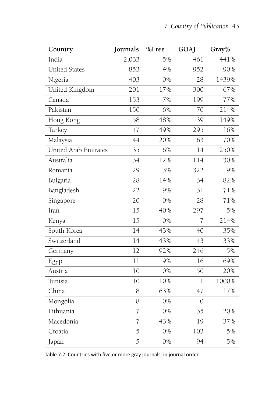| Country              | Journals        | %Free | GOAJ           | Gray% |
|----------------------|-----------------|-------|----------------|-------|
| India                | 2,033           | 5%    | 461            | 441%  |
| <b>United States</b> | 853             | 4%    | 952            | 90%   |
| Nigeria              | 403             | 0%    | 28             | 1439% |
| United Kingdom       | 201             | 17%   | 300            | 67%   |
| Canada               | 153             | 7%    | 199            | 77%   |
| Pakistan             | 150             | 6%    | 70             | 214%  |
| Hong Kong            | 58              | 48%   | 39             | 149%  |
| Turkey               | 47              | 49%   | 295            | 16%   |
| Malaysia             | 44              | 20%   | 63             | 70%   |
| United Arab Emirates | 35              | 6%    | 14             | 250%  |
| Australia            | $\overline{34}$ | 12%   | 114            | 30%   |
| Romania              | 29              | 3%    | 322            | 9%    |
| Bulgaria             | 28              | 14%   | 34             | 82%   |
| Bangladesh           | 22              | 9%    | 31             | 71%   |
| Singapore            | 20              | 0%    | 28             | 71%   |
| Iran                 | 15              | 40%   | 297            | 5%    |
| Kenya                | 15              | 0%    | $\overline{7}$ | 214%  |
| South Korea          | 14              | 43%   | 40             | 35%   |
| Switzerland          | 14              | 43%   | 43             | 33%   |
| Germany              | 12              | 92%   | 246            | 5%    |
| Egypt                | 11              | 9%    | 16             | 69%   |
| Austria              | 10              | 0%    | 50             | 20%   |
| Tunisia              | 10              | 10%   | $\mathbf 1$    | 1000% |
| China                | 8               | 63%   | 47             | 17%   |
| Mongolia             | 8               | 0%    | $\mathcal{O}$  |       |
| Lithuania            | $\overline{7}$  | 0%    | 35             | 20%   |
| Macedonia            | $\overline{7}$  | 43%   | 19             | 37%   |
| Croatia              | 5               | 0%    | 103            | 5%    |
| Japan                | 5               | 0%    | 94             | 5%    |

Table 7.2. Countries with five or more gray journals, in journal order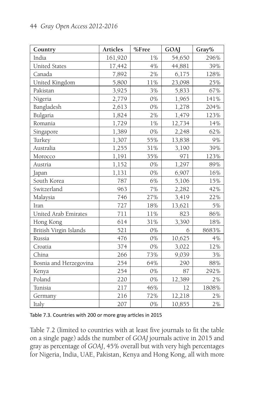| Country                | Articles | %Free    | GOAJ   | Gray% |
|------------------------|----------|----------|--------|-------|
| India                  | 161,920  | 1%       | 54,650 | 296%  |
| <b>United States</b>   | 17,442   | 4%       | 44,881 | 39%   |
| Canada                 | 7,892    | 2%       | 6,175  | 128%  |
| United Kingdom         | 5,800    | $11\%$   | 23,098 | 25%   |
| Pakistan               | 3,925    | 3%       | 5,833  | 67%   |
| Nigeria                | 2,779    | $0\%$    | 1,965  | 141%  |
| Bangladesh             | 2,613    | 0%       | 1,278  | 204%  |
| Bulgaria               | 1,824    | 2%       | 1,479  | 123%  |
| Romania                | 1,729    | $1\, \%$ | 12,734 | 14%   |
| Singapore              | 1,389    | 0%       | 2,248  | 62%   |
| Turkey                 | 1,307    | 55%      | 13,838 | 9%    |
| Australia              | 1,255    | 31%      | 3,190  | 39%   |
| Morocco                | 1,191    | 35%      | 971    | 123%  |
| Austria                | 1,152    | 0%       | 1,297  | 89%   |
| Japan                  | 1,131    | $0\%$    | 6,907  | 16%   |
| South Korea            | 787      | 6%       | 5,106  | 15%   |
| Switzerland            | 963      | 7%       | 2,282  | 42%   |
| Malaysia               | 746      | 27%      | 3,419  | 22%   |
| Iran                   | 727      | 18%      | 13,621 | 5%    |
| United Arab Emirates   | 711      | 11%      | 823    | 86%   |
| Hong Kong              | 614      | 31%      | 3,390  | 18%   |
| British Virgin Islands | 521      | 0%       | 6      | 8683% |
| Russia                 | 476      | 0%       | 10,625 | 4%    |
| Croatia                | 374      | $0\%$    | 3,022  | 12%   |
| China                  | 266      | 73%      | 9,039  | 3%    |
| Bosnia and Herzegovina | 254      | 64%      | 290    | 88%   |
| Kenya                  | 254      | 0%       | 87     | 292%  |
| Poland                 | 220      | $0\%$    | 12,389 | $2\%$ |
| Tunisia                | 217      | 46%      | 12     | 1808% |
| Germany                | 216      | 72%      | 12,218 | 2%    |
| Italy                  | 207      | 0%       | 10,855 | $2\%$ |

Table 7.3. Countries with 200 or more gray articles in 2015

Table 7.2 (limited to countries with at least five journals to fit the table on a single page) adds the number of *GOAJ* journals active in 2015 and gray as percentage of *GOAJ*, 45% overall but with very high percentages for Nigeria, India, UAE, Pakistan, Kenya and Hong Kong, all with more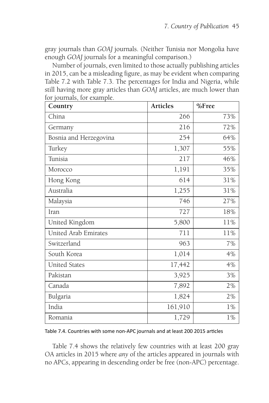gray journals than *GOAJ* journals. (Neither Tunisia nor Mongolia have enough *GOAJ* journals for a meaningful comparison.)

Number of journals, even limited to those actually publishing articles in 2015, can be a misleading figure, as may be evident when comparing Table 7.2 with Table 7.3. The percentages for India and Nigeria, while still having more gray articles than *GOAJ* articles, are much lower than for journals, for example.

| Country                | <b>Articles</b> | %Free |
|------------------------|-----------------|-------|
| China                  | 266             | 73%   |
| Germany                | 216             | 72%   |
| Bosnia and Herzegovina | 254             | 64%   |
| Turkey                 | 1,307           | 55%   |
| Tunisia                | 217             | 46%   |
| Morocco                | 1,191           | 35%   |
| Hong Kong              | 614             | 31%   |
| Australia              | 1,255           | 31%   |
| Malaysia               | 746             | 27%   |
| Iran                   | 727             | 18%   |
| United Kingdom         | 5,800           | 11%   |
| United Arab Emirates   | 711             | 11%   |
| Switzerland            | 963             | 7%    |
| South Korea            | 1,014           | 4%    |
| <b>United States</b>   | 17,442          | 4%    |
| Pakistan               | 3,925           | 3%    |
| Canada                 | 7,892           | 2%    |
| Bulgaria               | 1,824           | 2%    |
| India                  | 161,910         | $1\%$ |
| Romania                | 1,729           | 1%    |

Table 7.4. Countries with some non-APC journals and at least 200 2015 articles

Table 7.4 shows the relatively few countries with at least 200 gray OA articles in 2015 where *any* of the articles appeared in journals with no APCs, appearing in descending order be free (non-APC) percentage.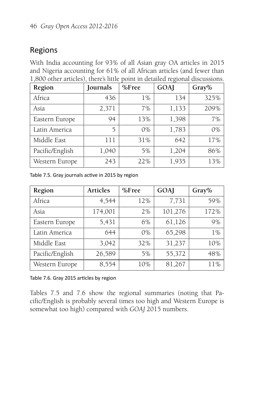## Regions

With India accounting for 93% of all Asian gray OA articles in 2015 and Nigeria accounting for 61% of all African articles (and fewer than 1,800 other articles), there's little point in detailed regional discussions.

| Region          | Journals | %Free | $\sim$<br>GOAJ | Gray% |
|-----------------|----------|-------|----------------|-------|
| Africa          | 436      | $1\%$ | 134            | 325%  |
| Asia            | 2,371    | 7%    | 1,133          | 209%  |
| Eastern Europe  | 94       | 13%   | 1,398          | 7%    |
| Latin America   | 5        | 0%    | 1,783          | $0\%$ |
| Middle East     | 111      | 31%   | 642            | 17%   |
| Pacific/English | 1,040    | 5%    | 1,204          | 86%   |
| Western Europe  | 243      | 22%   | 1,935          | 13%   |

Table 7.5. Gray journals active in 2015 by region

| Region          | <b>Articles</b> | %Free | GOAJ    | Gray% |
|-----------------|-----------------|-------|---------|-------|
| Africa          | 4,544           | 12%   | 7,731   | 59%   |
| Asia            | 174,001         | 2%    | 101,276 | 172%  |
| Eastern Europe  | 5,431           | 6%    | 61,126  | 9%    |
| Latin America   | 644             | $0\%$ | 65,298  | 1%    |
| Middle East     | 3,042           | 32%   | 31,237  | 10%   |
| Pacific/English | 26,589          | 5%    | 55,372  | 48%   |
| Western Europe  | 8,554           | 10%   | 81,267  | 11%   |

Table 7.6. Gray 2015 articles by region

Tables 7.5 and 7.6 show the regional summaries (noting that Pacific/English is probably several times too high and Western Europe is somewhat too high) compared with *GOAJ* 2015 numbers.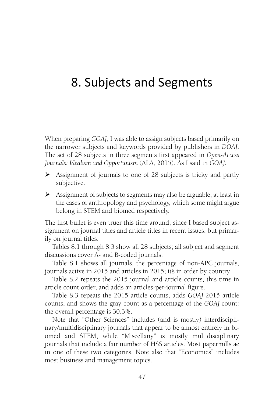## 8. Subjects and Segments

When preparing *GOAJ*, I was able to assign subjects based primarily on the narrower subjects and keywords provided by publishers in *DOAJ*. The set of 28 subjects in three segments first appeared in *Open-Access Journals: Idealism and Opportunism* (ALA, 2015). As I said in *GOAJ:*

- Assignment of journals to one of 28 subjects is tricky and partly subjective.
- $\triangleright$  Assignment of subjects to segments may also be arguable, at least in the cases of anthropology and psychology, which some might argue belong in STEM and biomed respectively.

The first bullet is even truer this time around, since I based subject assignment on journal titles and article titles in recent issues, but primarily on journal titles.

Tables 8.1 through 8.3 show all 28 subjects; all subject and segment discussions cover A- and B-coded journals.

Table 8.1 shows all journals, the percentage of non-APC journals, journals active in 2015 and articles in 2015; it's in order by country.

Table 8.2 repeats the 2015 journal and article counts, this time in article count order, and adds an articles-per-journal figure.

Table 8.3 repeats the 2015 article counts, adds *GOAJ* 2015 article counts, and shows the gray count as a percentage of the *GOAJ* count: the overall percentage is 30.3%.

Note that "Other Sciences" includes (and is mostly) interdisciplinary/multidisciplinary journals that appear to be almost entirely in biomed and STEM, while "Miscellany" is mostly multidisciplinary journals that include a fair number of HSS articles. Most papermills ae in one of these two categories. Note also that "Economics" includes most business and management topics.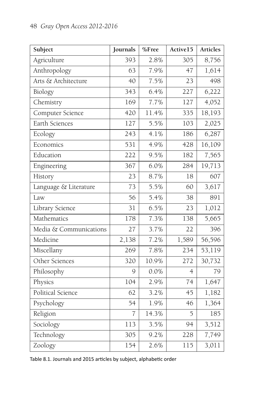| Subject                | Journals | %Free   | Active15       | Articles            |
|------------------------|----------|---------|----------------|---------------------|
| Agriculture            | 393      | 2.8%    | 305            | 8,756               |
| Anthropology           | 63       | 7.9%    | 47             | 1,614               |
| Arts & Architecture    | 40       | 7.5%    | 23             | 498                 |
| Biology                | 343      | 6.4%    | 227            | 6,222               |
| Chemistry              | 169      | 7.7%    | 127            | 4,052               |
| Computer Science       | 420      | 11.4%   | 335            | 18,193              |
| Earth Sciences         | 127      | 5.5%    | 103            | 2,025               |
| Ecology                | 243      | 4.1%    | 186            | 6,287               |
| Economics              | 531      | 4.9%    | 428            | $\overline{16,}109$ |
| Education              | 222      | 9.5%    | 182            | 7,565               |
| Engineering            | 367      | 6.0%    | 284            | 19,713              |
| History                | 23       | 8.7%    | 18             | 607                 |
| Language & Literature  | 73       | 5.5%    | 60             | 3,617               |
| Law                    | 56       | 5.4%    | 38             | 891                 |
| Library Science        | 31       | 6.5%    | 23             | 1,012               |
| Mathematics            | 178      | $7.3\%$ | 138            | 5,665               |
| Media & Communications | 27       | 3.7%    | 22             | 396                 |
| Medicine               | 2,138    | 7.2%    | 1,589          | 56,596              |
| Miscellany             | 269      | 7.8%    | 234            | 53,119              |
| Other Sciences         | 320      | 10.9%   | 272            | 30,732              |
| Philosophy             | 9        | 0.0%    | $\overline{4}$ | 79                  |
| Physics                | 104      | 2.9%    | 74             | 1,647               |
| Political Science      | 62       | 3.2%    | 45             | 1,182               |
| Psychology             | 54       | 1.9%    | 46             | 1,364               |
| Religion               | 7        | 14.3%   | 5              | 185                 |
| Sociology              | 113      | 3.5%    | 94             | 3,512               |
| Technology             | 305      | 9.2%    | 228            | 7,749               |
| Zoology                | 154      | 2.6%    | 115            | 3,011               |

Table 8.1. Journals and 2015 articles by subject, alphabetic order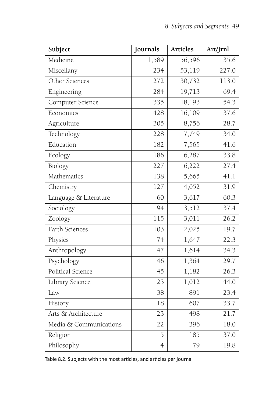| Subject                | Journals       | <b>Articles</b>     | Art/Jrnl |
|------------------------|----------------|---------------------|----------|
| Medicine               | 1,589          | 56,596              | 35.6     |
| Miscellany             | 234            | 53,119              | 227.0    |
| Other Sciences         | 272            | 30,732              | 113.0    |
| Engineering            | 284            | 19,713              | 69.4     |
| Computer Science       | 335            | 18,193              | 54.3     |
| Economics              | 428            | 16,109              | 37.6     |
| Agriculture            | 305            | 8,756               | 28.7     |
| Technology             | 228            | 7,749               | 34.0     |
| Education              | 182            | 7,565               | 41.6     |
| Ecology                | 186            | 6,287               | 33.8     |
| Biology                | 227            | 6,222               | 27.4     |
| Mathematics            | 138            | 5,665               | 41.1     |
| Chemistry              | 127            | 4,052               | 31.9     |
| Language & Literature  | 60             | 3,617               | 60.3     |
| Sociology              | 94             | $\overline{3}, 512$ | 37.4     |
| Zoology                | 115            | 3,011               | 26.2     |
| Earth Sciences         | 103            | 2,025               | 19.7     |
| Physics                | 74             | 1,647               | 22.3     |
| Anthropology           | 47             | 1,614               | 34.3     |
| Psychology             | 46             | 1,364               | 29.7     |
| Political Science      | 45             | 1,182               | 26.3     |
| Library Science        | 23             | 1,012               | 44.0     |
| Law                    | 38             | 891                 | 23.4     |
| History                | 18             | 607                 | 33.7     |
| Arts & Architecture    | 23             | 498                 | 21.7     |
| Media & Communications | 22             | 396                 | 18.0     |
| Religion               | 5              | 185                 | 37.0     |
| Philosophy             | $\overline{4}$ | 79                  | 19.8     |

Table 8.2. Subjects with the most articles, and articles per journal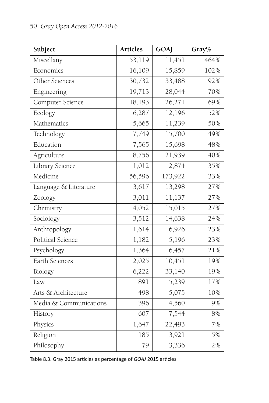| Subject                | <b>Articles</b> | GOAJ    | Gray% |
|------------------------|-----------------|---------|-------|
| Miscellany             | 53,119          | 11,451  | 464%  |
| Economics              | 16,109          | 15,859  | 102%  |
| Other Sciences         | 30,732          | 33,488  | 92%   |
| Engineering            | 19,713          | 28,044  | 70%   |
| Computer Science       | 18,193          | 26,271  | 69%   |
| Ecology                | 6,287           | 12,196  | 52%   |
| Mathematics            | 5,665           | 11,239  | 50%   |
| Technology             | 7,749           | 15,700  | 49%   |
| Education              | 7,565           | 15,698  | 48%   |
| Agriculture            | 8,756           | 21,939  | 40%   |
| Library Science        | 1,012           | 2,874   | 35%   |
| Medicine               | 56,596          | 173,922 | 33%   |
| Language & Literature  | 3,617           | 13,298  | 27%   |
| Zoology                | 3,011           | 11,137  | 27%   |
| Chemistry              | 4,052           | 15,015  | 27%   |
| Sociology              | 3,512           | 14,638  | 24%   |
| Anthropology           | 1,614           | 6,926   | 23%   |
| Political Science      | 1,182           | 5,196   | 23%   |
| Psychology             | 1,364           | 6,457   | 21%   |
| Earth Sciences         | 2,025           | 10,451  | 19%   |
| Biology                | 6,222           | 33,140  | 19%   |
| Law                    | 891             | 5,239   | 17%   |
| Arts & Architecture    | 498             | 5,075   | 10%   |
| Media & Communications | 396             | 4,560   | 9%    |
| History                | 607             | 7,544   | 8%    |
| Physics                | 1,647           | 22,493  | 7%    |
| Religion               | 185             | 3,921   | 5%    |
| Philosophy             | 79              | 3,336   | 2%    |

Table 8.3. Gray 2015 articles as percentage of *GOAJ* 2015 articles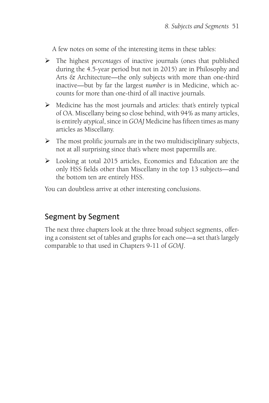A few notes on some of the interesting items in these tables:

- The highest *percentages* of inactive journals (ones that published during the 4.5-year period but not in 2015) are in Philosophy and Arts & Architecture—the only subjects with more than one-third inactive—but by far the largest *number* is in Medicine, which accounts for more than one-third of all inactive journals.
- $\triangleright$  Medicine has the most journals and articles: that's entirely typical of OA. Miscellany being so close behind, with 94% as many articles, is entirely *atypical*, since in *GOAJ* Medicine has fifteen times as many articles as Miscellany.
- $\triangleright$  The most prolific journals are in the two multidisciplinary subjects, not at all surprising since that's where most papermills are.
- Looking at total 2015 articles, Economics and Education are the only HSS fields other than Miscellany in the top 13 subjects—and the bottom ten are entirely HSS.

You can doubtless arrive at other interesting conclusions.

### Segment by Segment

The next three chapters look at the three broad subject segments, offering a consistent set of tables and graphs for each one—a set that's largely comparable to that used in Chapters 9-11 of *GOAJ*.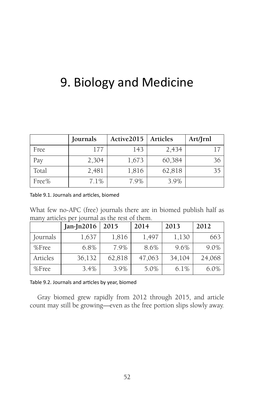# 9. Biology and Medicine

|       | Journals | Active2015 | Articles | Art/Jrnl |
|-------|----------|------------|----------|----------|
| Free  | 177      | 143        | 2,434    |          |
| Pay   | 2,304    | 1,673      | 60,384   | 36       |
| Total | 2,481    | 1,816      | 62,818   | 35       |
| Free% | 7.1%     | 7.9%       | 3.9%     |          |

Table 9.1. Journals and articles, biomed

What few no-APC (free) journals there are in biomed publish half as many articles per journal as the rest of them.

|          | $Jan-In2016$ | 2015   | 2014   | 2013    | 2012    |
|----------|--------------|--------|--------|---------|---------|
| Journals | 1,637        | 1,816  | 1,497  | 1,130   | 663     |
| $%$ Free | 6.8%         | 7.9%   | 8.6%   | 9.6%    | $9.0\%$ |
| Articles | 36,132       | 62,818 | 47,063 | 34,104  | 24,068  |
| $%$ Free | 3.4%         | 3.9%   | 5.0%   | $6.1\%$ | $6.0\%$ |

Table 9.2. Journals and articles by year, biomed

Gray biomed grew rapidly from 2012 through 2015, and article count may still be growing—even as the free portion slips slowly away.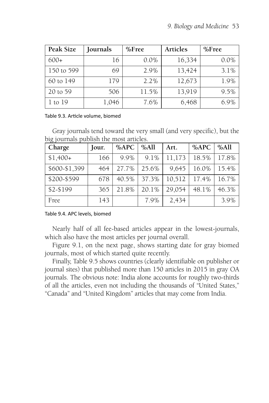| Peak Size  | Journals | $%$ Free | Articles | $%$ Free |
|------------|----------|----------|----------|----------|
| $600+$     | 16       | $0.0\%$  | 16,334   | $0.0\%$  |
| 150 to 599 | 69       | 2.9%     | 13,424   | 3.1%     |
| 60 to 149  | 179      | 2.2%     | 12,673   | 1.9%     |
| 20 to 59   | 506      | 11.5%    | 13,919   | 9.5%     |
| 1 to 19    | 1,046    | 7.6%     | 6,468    | 6.9%     |

#### Table 9.3. Article volume, biomed

Gray journals tend toward the very small (and very specific), but the big journals publish the most articles.

| Charge        | Jour. | %APC  | %All  | Art.   | %APC  | %All  |
|---------------|-------|-------|-------|--------|-------|-------|
| $$1,400+$     | 166   | 9.9%  | 9.1%  | 11,173 | 18.5% | 17.8% |
| \$600-\$1,399 | 464   | 27.7% | 25.6% | 9,645  | 16.0% | 15.4% |
| \$200-\$599   | 678   | 40.5% | 37.3% | 10,512 | 17.4% | 16.7% |
| \$2-\$199     | 365   | 21.8% | 20.1% | 29,054 | 48.1% | 46.3% |
| Free          | 143   |       | 7.9%  | 2,434  |       | 3.9%  |

Table 9.4. APC levels, biomed

Nearly half of all fee-based articles appear in the lowest-journals, which also have the most articles per journal overall.

Figure 9.1, on the next page, shows starting date for gray biomed journals, most of which started quite recently.

Finally, Table 9.5 shows countries (clearly identifiable on publisher or journal sites) that published more than 150 articles in 2015 in gray OA journals. The obvious note: India alone accounts for roughly two-thirds of all the articles, even not including the thousands of "United States," "Canada" and "United Kingdom" articles that may come from India.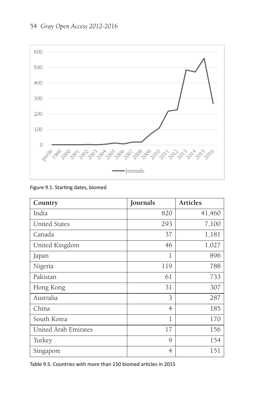### 54 *Gray Open Access 2012-2016*



#### Figure 9.1. Starting dates, biomed

| Country              | Journals | <b>Articles</b> |
|----------------------|----------|-----------------|
| India                | 820      | 41,460          |
| <b>United States</b> | 293      | 7,100           |
| Canada               | 37       | 1,181           |
| United Kingdom       | 46       | 1,027           |
| Japan                | 1        | 896             |
| Nigeria              | 119      | 788             |
| Pakistan             | 61       | 733             |
| Hong Kong            | 31       | 307             |
| Australia            | 3        | 287             |
| China                | 4        | 185             |
| South Korea          | 1        | 170             |
| United Arab Emirates | 17       | 156             |
| Turkey               | 9        | 154             |
| Singapore            | 4        | 151             |

Table 9.5. Countries with more than 150 biomed articles in 2015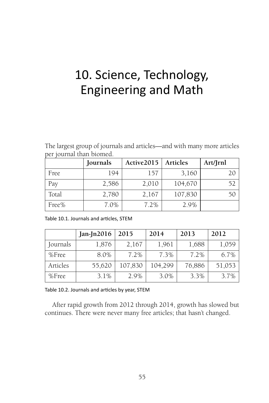# 10. Science, Technology, Engineering and Math

The largest group of journals and articles—and with many more articles per journal than biomed.

|       | Journals | Active 2015 | Articles | Art/Jrnl |
|-------|----------|-------------|----------|----------|
| Free  | 194      | 157         | 3,160    | 20       |
| Pay   | 2,586    | 2,010       | 104,670  | 52       |
| Total | 2,780    | 2,167       | 107,830  | 50       |
| Free% | 7.0%     | 7.2%        | 2.9%     |          |

|  | Table 10.1. Journals and articles, STEM |  |  |
|--|-----------------------------------------|--|--|
|  |                                         |  |  |

|          | $Jan-In2016$ | 2015    | 2014    | 2013    | 2012   |
|----------|--------------|---------|---------|---------|--------|
| Journals | 1,876        | 2,167   | 1,961   | 1,688   | 1,059  |
| %Free    | 8.0%         | $7.2\%$ | $7.3\%$ | $7.2\%$ | 6.7%   |
| Articles | 55,620       | 107,830 | 104,299 | 76,886  | 51,053 |
| %Free    | 3.1%         | 2.9%    | 3.0%    | 3.3%    | 3.7%   |

Table 10.2. Journals and articles by year, STEM

After rapid growth from 2012 through 2014, growth has slowed but continues. There were never many free articles; that hasn't changed.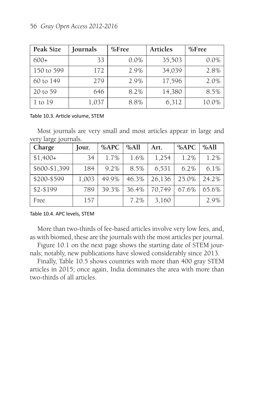| Peak Size   | Journals | $%$ Free | Articles | $%$ Free |
|-------------|----------|----------|----------|----------|
| $600+$      | 33       | $0.0\%$  | 35,503   | 0.0%     |
| 150 to 599  | 172      | 2.9%     | 34,039   | 2.8%     |
| 60 to 149   | 279      | 2.9%     | 17,596   | 2.0%     |
| 20 to 59    | 646      | 8.2%     | 14,380   | 8.5%     |
| $1$ to $19$ | 1,037    | 8.8%     | 6,312    | 10.0%    |

#### Table 10.3. Article volume, STEM

Most journals are very small and most articles appear in large and very large journals.

| Charge        | Jour. | %APC    | %All  | Art.   | %APC  | %All    |
|---------------|-------|---------|-------|--------|-------|---------|
| $$1,400+$     | 34    | $1.7\%$ | 1.6%  | 1,254  | 1.2%  | 1.2%    |
| \$600-\$1,399 | 184   | 9.2%    | 8.5%  | 6,531  | 6.2%  | $6.1\%$ |
| \$200-\$599   | 1,003 | 49.9%   | 46.3% | 26,136 | 25.0% | 24.2%   |
| \$2-\$199     | 789   | 39.3%   | 36.4% | 70,749 | 67.6% | 65.6%   |
| Free          | 157   |         | 7.2%  | 3,160  |       | 2.9%    |

Table 10.4. APC levels, STEM

More than two-thirds of fee-based articles involve very low fees, and, as with biomed, these are the journals with the most articles per journal.

Figure 10.1 on the next page shows the starting date of STEM journals; notably, new publications have slowed considerably since 2013.

Finally, Table 10.5 shows countries with more than 400 gray STEM articles in 2015; once again, India dominates the area with more than two-thirds of all articles.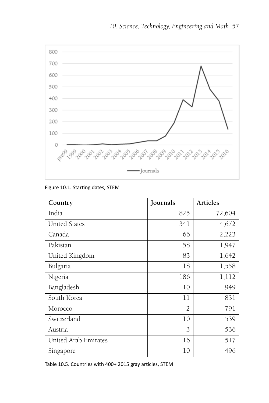

-Journals

Figure 10.1. Starting dates, STEM

| Country              | Journals       | <b>Articles</b> |
|----------------------|----------------|-----------------|
| India                | 825            | 72,604          |
| <b>United States</b> | 341            | 4,672           |
| Canada               | 66             | 2,223           |
| Pakistan             | 58             | 1,947           |
| United Kingdom       | 83             | 1,642           |
| Bulgaria             | 18             | 1,558           |
| Nigeria              | 186            | 1,112           |
| Bangladesh           | 10             | 949             |
| South Korea          | 11             | 831             |
| Morocco              | $\overline{2}$ | 791             |
| Switzerland          | 10             | 539             |
| Austria              | 3              | 536             |
| United Arab Emirates | 16             | 517             |
| Singapore            | 10             | 496             |

Table 10.5. Countries with 400+ 2015 gray articles, STEM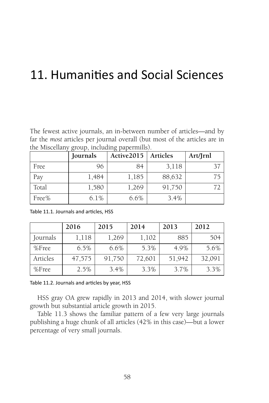## 11. Humanities and Social Sciences

The fewest active journals, an in-between number of articles—and by far the *most* articles per journal overall (but most of the articles are in the Miscellany group, including papermills).

|       | Journals | Active2015 | Articles | Art/Jrnl |
|-------|----------|------------|----------|----------|
| Free  | 96       | 84         | 3,118    | 37       |
| Pay   | 1,484    | 1,185      | 88,632   | 75       |
| Total | 1,580    | 1,269      | 91,750   | 77       |
| Free% | 6.1%     | 6.6%       | 3.4%     |          |

Table 11.1. Journals and articles, HSS

|          | 2016   | 2015    | 2014   | 2013   | 2012   |
|----------|--------|---------|--------|--------|--------|
| Journals | 1,118  | 1,269   | 1,102  | 885    | 504    |
| $%$ Free | 6.5%   | $6.6\%$ | 5.3%   | 4.9%   | 5.6%   |
| Articles | 47,575 | 91,750  | 72,601 | 51,942 | 32,091 |
| %Free    | 2.5%   | 3.4%    | 3.3%   | 3.7%   | 3.3%   |

Table 11.2. Journals and articles by year, HSS

HSS gray OA grew rapidly in 2013 and 2014, with slower journal growth but substantial article growth in 2015.

Table 11.3 shows the familiar pattern of a few very large journals publishing a huge chunk of all articles (42% in this case)—but a lower percentage of very small journals.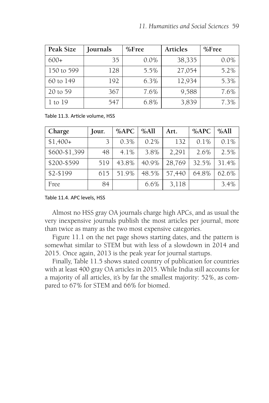| Peak Size  | Journals | $%$ Free | Articles | $%$ Free |
|------------|----------|----------|----------|----------|
| $600+$     | 35       | 0.0%     | 38,335   | $0.0\%$  |
| 150 to 599 | 128      | 5.5%     | 27,054   | $5.2\%$  |
| 60 to 149  | 192      | 6.3%     | 12,934   | 5.3%     |
| 20 to 59   | 367      | 7.6%     | 9,588    | 7.6%     |
| 1 to 19    | 547      | 6.8%     | 3,839    | 7.3%     |

Table 11.3. Article volume, HSS

| Charge        | Jour. | %APC    | %All    | Art.   | %APC  | %All    |
|---------------|-------|---------|---------|--------|-------|---------|
| $$1,400+$     |       | 0.3%    | $0.2\%$ | 132    | 0.1%  | $0.1\%$ |
| \$600-\$1,399 | 48    | $4.1\%$ | 3.8%    | 2,291  | 2.6%  | 2.5%    |
| \$200-\$599   | 519   | 43.8%   | 40.9%   | 28,769 | 32.5% | 31.4%   |
| \$2-\$199     | 615   | 51.9%   | 48.5%   | 57,440 | 64.8% | 62.6%   |
| Free          | 84    |         | 6.6%    | 3,118  |       | 3.4%    |

Table 11.4. APC levels, HSS

Almost no HSS gray OA journals charge high APCs, and as usual the very inexpensive journals publish the most articles per journal, more than twice as many as the two most expensive categories.

Figure 11.1 on the net page shows starting dates, and the pattern is somewhat similar to STEM but with less of a slowdown in 2014 and 2015. Once again, 2013 is the peak year for journal startups.

Finally, Table 11.5 shows stated country of publication for countries with at least 400 gray OA articles in 2015. While India still accounts for a majority of all articles, it's by far the smallest majority: 52%, as compared to 67% for STEM and 66% for biomed.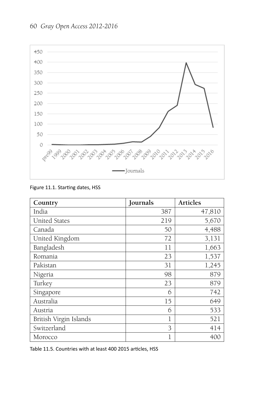### 60 *Gray Open Access 2012-2016*



#### Figure 11.1. Starting dates, HSS

| Country                | Journals | Articles |
|------------------------|----------|----------|
| India                  | 387      | 47,810   |
| <b>United States</b>   | 219      | 5,670    |
| Canada                 | 50       | 4,488    |
| United Kingdom         | 72       | 3,131    |
| Bangladesh             | 11       | 1,663    |
| Romania                | 23       | 1,537    |
| Pakistan               | 31       | 1,245    |
| Nigeria                | 98       | 879      |
| Turkey                 | 23       | 879      |
| Singapore              | 6        | 742      |
| Australia              | 15       | 649      |
| Austria                | 6        | 533      |
| British Virgin Islands | 1        | 521      |
| Switzerland            | 3        | 414      |
| Morocco                |          | 400      |

Table 11.5. Countries with at least 400 2015 articles, HSS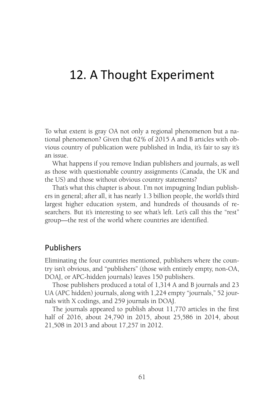## 12. A Thought Experiment

To what extent is gray OA not only a regional phenomenon but a national phenomenon? Given that 62% of 2015 A and B articles with obvious country of publication were published in India, it's fair to say it's an issue.

What happens if you remove Indian publishers and journals, as well as those with questionable country assignments (Canada, the UK and the US) and those without obvious country statements?

That's what this chapter is about. I'm not impugning Indian publishers in general; after all, it has nearly 1.3 billion people, the world's third largest higher education system, and hundreds of thousands of researchers. But it's interesting to see what's left. Let's call this the "rest" group—the rest of the world where countries are identified.

### Publishers

Eliminating the four countries mentioned, publishers where the country isn't obvious, and "publishers" (those with entirely empty, non-OA, DOAJ, or APC-hidden journals) leaves 150 publishers.

Those publishers produced a total of 1,314 A and B journals and 23 UA (APC hidden) journals, along with 1,224 empty "journals," 52 journals with X codings, and 259 journals in DOAJ.

The journals appeared to publish about 11,770 articles in the first half of 2016, about 24,790 in 2015, about 25,586 in 2014, about 21,508 in 2013 and about 17,257 in 2012.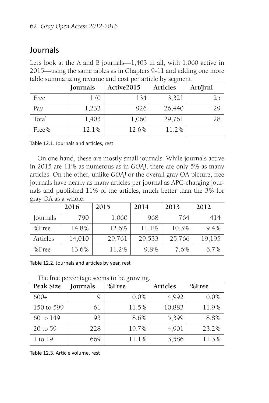## Journals

Let's look at the A and B journals—1,403 in all, with 1,060 active in 2015—using the same tables as in Chapters 9-11 and adding one more table summarizing revenue and cost per article by segment.

|       | Journals | Active2015 | <b>Articles</b> | Art/Jrnl |
|-------|----------|------------|-----------------|----------|
| Free  | 170      | 134        | 3,321           | 25       |
| Pay   | 1,233    | 926        | 26,440          | 29       |
| Total | 1,403    | 1,060      | 29,761          | 28       |
| Free% | 12.1%    | 12.6%      | 11.2%           |          |

Table 12.1. Journals and articles, rest

On one hand, these are mostly small journals. While journals active in 2015 are 11% as numerous as in *GOAJ*, there are only 5% as many articles. On the other, unlike *GOAJ* or the overall gray OA picture, free journals have nearly as many articles per journal as APC-charging journals and published 11% of the articles, much better than the 3% for gray OA as a whole.

|          | 2016   | 2015   | 2014   | 2013   | 2012    |
|----------|--------|--------|--------|--------|---------|
| Journals | 790    | 1,060  | 968    | 764    | 414     |
| $%$ Free | 14.8%  | 12.6%  | 11.1%  | 10.3%  | $9.4\%$ |
| Articles | 14,010 | 29,761 | 29,533 | 25,766 | 19,195  |
| $%$ Free | 13.6%  | 11.2%  | 9.8%   | 7.6%   | 6.7%    |

Table 12.2. Journals and articles by year, rest

The free percentage seems to be growing.

| Peak Size  | Journals | $%$ Free | Articles | $%$ Free |
|------------|----------|----------|----------|----------|
| $600+$     |          | $0.0\%$  | 4,992    | $0.0\%$  |
| 150 to 599 | 61       | 11.5%    | 10,883   | 11.9%    |
| 60 to 149  | 93       | 8.6%     | 5,399    | 8.8%     |
| 20 to 59   | 228      | 19.7%    | 4,901    | 23.2%    |
| 1 to 19    | 669      | 11.1%    | 3,586    | 11.3%    |

Table 12.3. Article volume, rest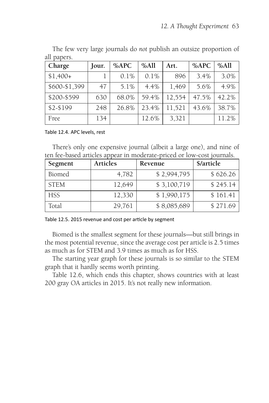| Charge        | Jour. | %APC  | %All  | Art.   | %APC  | %All  |
|---------------|-------|-------|-------|--------|-------|-------|
| $$1,400+$     |       | 0.1%  | 0.1%  | 896    | 3.4%  | 3.0%  |
| \$600-\$1,399 | 47    | 5.1%  | 4.4%  | 1,469  | 5.6%  | 4.9%  |
| \$200-\$599   | 630   | 68.0% | 59.4% | 12,554 | 47.5% | 42.2% |
| \$2-\$199     | 248   | 26.8% | 23.4% | 11,521 | 43.6% | 38.7% |
| Free          | 134   |       | 12.6% | 3,321  |       | 11.2% |

The few very large journals do *not* publish an outsize proportion of all papers.

Table 12.4. APC levels, rest

There's only one expensive journal (albeit a large one), and nine of ten fee-based articles appear in moderate-priced or low-cost journals.

| Segment     | <b>Articles</b> | Revenue     | \$/article |
|-------------|-----------------|-------------|------------|
| Biomed      | 4,782           | \$2,994,795 | \$626.26   |
| <b>STEM</b> | 12,649          | \$3,100,719 | \$245.14   |
| <b>HSS</b>  | 12,330          | \$1,990,175 | \$161.41   |
| Total       | 29,761          | \$8,085,689 | \$271.69   |

Table 12.5. 2015 revenue and cost per article by segment

Biomed is the smallest segment for these journals—but still brings in the most potential revenue, since the average cost per article is 2.5 times as much as for STEM and 3.9 times as much as for HSS.

The starting year graph for these journals is so similar to the STEM graph that it hardly seems worth printing.

Table 12.6, which ends this chapter, shows countries with at least 200 gray OA articles in 2015. It's not really new information.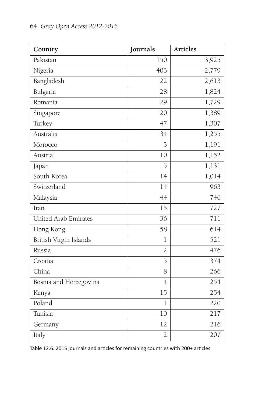| Country                | Journals       | <b>Articles</b> |
|------------------------|----------------|-----------------|
| Pakistan               | 150            | 3,925           |
| Nigeria                | 403            | 2,779           |
| Bangladesh             | 22             | 2,613           |
| Bulgaria               | 28             | 1,824           |
| Romania                | 29             | 1,729           |
| Singapore              | 20             | 1,389           |
| Turkey                 | 47             | 1,307           |
| Australia              | 34             | 1,255           |
| Morocco                | 3              | 1,191           |
| Austria                | 10             | 1,152           |
| Japan                  | 5              | 1,131           |
| South Korea            | 14             | 1,014           |
| Switzerland            | 14             | 963             |
| Malaysia               | 44             | 746             |
| Iran                   | 15             | 727             |
| United Arab Emirates   | 36             | 711             |
| Hong Kong              | 58             | 614             |
| British Virgin Islands | $\overline{1}$ | 521             |
| Russia                 | $\overline{2}$ | 476             |
| Croatia                | 5              | 374             |
| China                  | 8              | 266             |
| Bosnia and Herzegovina | $\overline{4}$ | 254             |
| Kenya                  | 15             | 254             |
| Poland                 | $\overline{1}$ | 220             |
| Tunisia                | 10             | 217             |
| Germany                | 12             | 216             |
| Italy                  | $\overline{2}$ | 207             |

Table 12.6. 2015 journals and articles for remaining countries with 200+ articles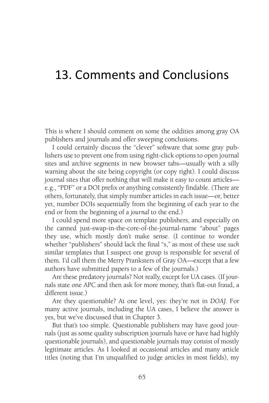## 13. Comments and Conclusions

This is where I should comment on some the oddities among gray OA publishers and journals and offer sweeping conclusions.

I could certainly discuss the "clever" software that some gray publishers use to prevent one from using right-click options to open journal sites and archive segments in new browser tabs—usually with a silly warning about the site being copyright (or copy right). I could discuss journal sites that offer nothing that will make it easy to count articles e.g., "PDF" or a DOI prefix or anything consistently findable. (There are others, fortunately, that simply number articles in each issue—or, better yet, number DOIs sequentially from the beginning of each year to the end or from the beginning of a *journal* to the end.)

I could spend more space on template publishers, and especially on the canned just-swap-in-the-core-of-the-journal-name "about" pages they use, which mostly don't make sense. (I continue to wonder whether "publishers" should lack the final "s," as most of these use *such* similar templates that I suspect one group is responsible for several of them. I'd call them the Merry Pranksters of Gray OA—except that a few authors have submitted papers to a few of the journals.)

Are these predatory journals? Not really, except for UA cases. (If journals state one APC and then ask for more money, that's flat-out fraud, a different issue.)

Are they questionable? At one level, yes: they're not in *DOAJ.* For many active journals, including the UA cases, I believe the answer is yes, but we've discussed that in Chapter 3.

But that's too simple. Questionable publishers may have good journals (just as some quality subscription journals have or have had highly questionable journals), and questionable journals may consist of mostly legitimate articles. As I looked at occasional articles and many article titles (noting that I'm unqualified to judge articles in most fields), my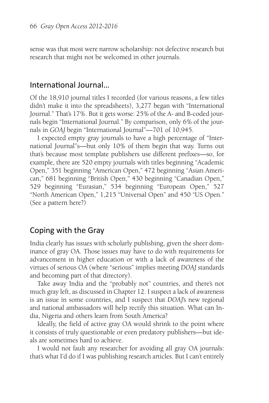sense was that most were narrow scholarship: not defective research but research that might not be welcomed in other journals.

### International Journal...

Of the 18,910 journal titles I recorded (for various reasons, a few titles didn't make it into the spreadsheets), 3,277 began with "International Journal." That's 17%. But it gets worse: 25% of the A- and B-coded journals begin "International Journal." By comparison, only 6% of the journals in *GOAJ* begin "International Journal"—701 of 10,945.

I expected empty gray journals to have a high percentage of "International Journal"s—but only 10% of them begin that way. Turns out that's because most template publishers use different prefixes—so, for example, there are 520 empty journals with titles beginning "Academic Open," 351 beginning "American Open," 472 beginning "Asian American," 681 beginning "British Open," 430 beginning "Canadian Open," 529 beginning "Eurasian," 534 beginning "European Open," 527 "North American Open," 1,215 "Universal Open" and 450 "US Open." (See a pattern here?)

### Coping with the Gray

India clearly has issues with scholarly publishing, given the sheer dominance of gray OA. Those issues may have to do with requirements for advancement in higher education or with a lack of awareness of the virtues of serious OA (where "serious" implies meeting *DOAJ* standards and becoming part of that directory).

Take away India and the "probably not" countries, and there's not much gray left, as discussed in Chapter 12. I suspect a lack of awareness is an issue in some countries, and I suspect that *DOAJ*'s new regional and national ambassadors will help rectify this situation. What can India, Nigeria and others learn from South America?

Ideally, the field of active gray OA would shrink to the point where it consists of truly questionable or even predatory publishers—but ideals are sometimes hard to achieve.

I would not fault any researcher for avoiding all gray OA journals: that's what I'd do if I was publishing research articles. But I can't entirely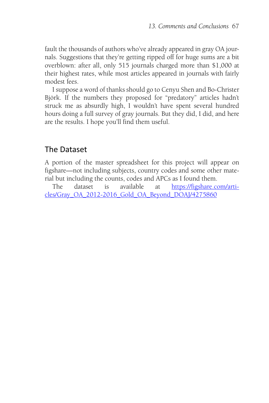fault the thousands of authors who've already appeared in gray OA journals. Suggestions that they're getting ripped off for huge sums are a bit overblown: after all, only 515 journals charged more than \$1,000 at their highest rates, while most articles appeared in journals with fairly modest fees.

I suppose a word of thanks should go to Cenyu Shen and Bo-Christer Björk. If the numbers they proposed for "predatory" articles hadn't struck me as absurdly high, I wouldn't have spent several hundred hours doing a full survey of gray journals. But they did, I did, and here are the results. I hope you'll find them useful.

## The Dataset

A portion of the master spreadsheet for this project will appear on figshare—not including subjects, country codes and some other material but including the counts, codes and APCs as I found them.

[The dataset is available at](https://figshare.com/articles/Gray_OA_2012-2016_Gold_OA_Beyond_DOAJ/4275860) https://figshare.com/arti[cles/Gray\\_OA\\_2012-2016\\_Gold\\_OA\\_Beyond\\_DOAJ/4275860](https://figshare.com/articles/Gray_OA_2012-2016_Gold_OA_Beyond_DOAJ/4275860)